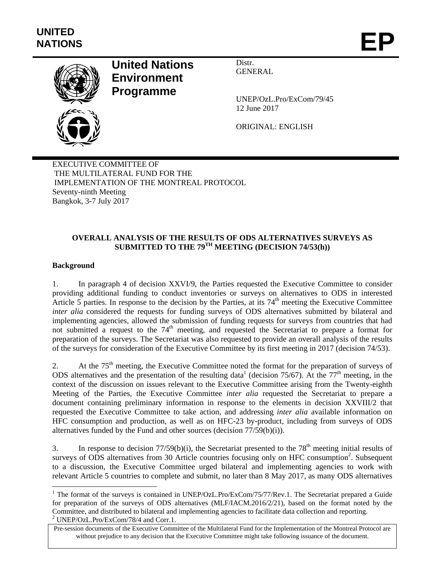

# **United Nations Environment Programme**

Distr. GENERAL

UNEP/OzL.Pro/ExCom/79/45 12 June 2017

ORIGINAL: ENGLISH

EXECUTIVE COMMITTEE OF THE MULTILATERAL FUND FOR THE IMPLEMENTATION OF THE MONTREAL PROTOCOL Seventy-ninth Meeting Bangkok, 3-7 July 2017

## **OVERALL ANALYSIS OF THE RESULTS OF ODS ALTERNATIVES SURVEYS AS SUBMITTED TO THE 79TH MEETING (DECISION 74/53(h))**

## **Background**

1

1. In paragraph 4 of decision XXVI/9, the Parties requested the Executive Committee to consider providing additional funding to conduct inventories or surveys on alternatives to ODS in interested Article 5 parties. In response to the decision by the Parties, at its  $74<sup>th</sup>$  meeting the Executive Committee *inter alia* considered the requests for funding surveys of ODS alternatives submitted by bilateral and implementing agencies, allowed the submission of funding requests for surveys from countries that had not submitted a request to the  $74<sup>th</sup>$  meeting, and requested the Secretariat to prepare a format for preparation of the surveys. The Secretariat was also requested to provide an overall analysis of the results of the surveys for consideration of the Executive Committee by its first meeting in 2017 (decision 74/53).

2. At the 75<sup>th</sup> meeting, the Executive Committee noted the format for the preparation of surveys of ODS alternatives and the presentation of the resulting data<sup>1</sup> (decision 75/67). At the 77<sup>th</sup> meeting, in the context of the discussion on issues relevant to the Executive Committee arising from the Twenty-eighth Meeting of the Parties, the Executive Committee *inter alia* requested the Secretariat to prepare a document containing preliminary information in response to the elements in decision XXVIII/2 that requested the Executive Committee to take action, and addressing *inter alia* available information on HFC consumption and production, as well as on HFC-23 by-product, including from surveys of ODS alternatives funded by the Fund and other sources (decision 77/59(b)(i)).

3. In response to decision  $77/59(b)(i)$ , the Secretariat presented to the  $78<sup>th</sup>$  meeting initial results of surveys of ODS alternatives from 30 Article countries focusing only on HFC consumption<sup>2</sup>. Subsequent to a discussion, the Executive Committee urged bilateral and implementing agencies to work with relevant Article 5 countries to complete and submit, no later than 8 May 2017, as many ODS alternatives

<sup>&</sup>lt;sup>1</sup> The format of the surveys is contained in UNEP/OzL.Pro/ExCom/75/77/Rev.1. The Secretariat prepared a Guide for preparation of the surveys of ODS alternatives (MLF/IACM.2016/2/21), based on the format noted by the Committee, and distributed to bilateral and implementing agencies to facilitate data collection and reporting. 2 UNEP/OzL.Pro/ExCom/78/4 and Corr.1.

Pre-session documents of the Executive Committee of the Multilateral Fund for the Implementation of the Montreal Protocol are without prejudice to any decision that the Executive Committee might take following issuance of the document.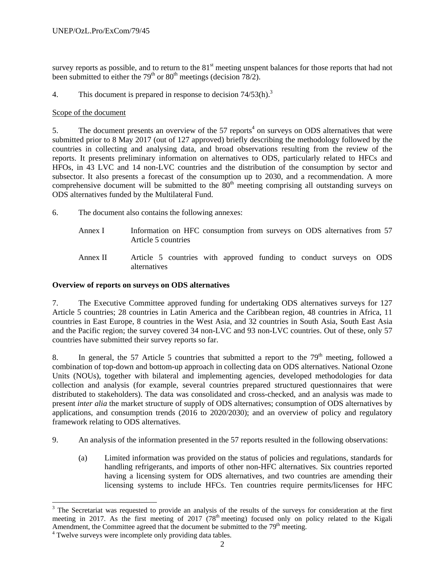survey reports as possible, and to return to the  $81<sup>st</sup>$  meeting unspent balances for those reports that had not been submitted to either the 79<sup>th</sup> or 80<sup>th</sup> meetings (decision 78/2).

4. This document is prepared in response to decision  $74/53(h)<sup>3</sup>$ 

## Scope of the document

5. The document presents an overview of the  $57$  reports<sup>4</sup> on surveys on ODS alternatives that were submitted prior to 8 May 2017 (out of 127 approved) briefly describing the methodology followed by the countries in collecting and analysing data, and broad observations resulting from the review of the reports. It presents preliminary information on alternatives to ODS, particularly related to HFCs and HFOs, in 43 LVC and 14 non-LVC countries and the distribution of the consumption by sector and subsector. It also presents a forecast of the consumption up to 2030, and a recommendation. A more comprehensive document will be submitted to the  $80<sup>th</sup>$  meeting comprising all outstanding surveys on ODS alternatives funded by the Multilateral Fund.

6. The document also contains the following annexes:

- Annex I Information on HFC consumption from surveys on ODS alternatives from 57 Article 5 countries
- Annex II Article 5 countries with approved funding to conduct surveys on ODS alternatives

## **Overview of reports on surveys on ODS alternatives**

7. The Executive Committee approved funding for undertaking ODS alternatives surveys for 127 Article 5 countries; 28 countries in Latin America and the Caribbean region, 48 countries in Africa, 11 countries in East Europe, 8 countries in the West Asia, and 32 countries in South Asia, South East Asia and the Pacific region; the survey covered 34 non-LVC and 93 non-LVC countries. Out of these, only 57 countries have submitted their survey reports so far.

8. In general, the 57 Article 5 countries that submitted a report to the  $79<sup>th</sup>$  meeting, followed a combination of top-down and bottom-up approach in collecting data on ODS alternatives. National Ozone Units (NOUs), together with bilateral and implementing agencies, developed methodologies for data collection and analysis (for example, several countries prepared structured questionnaires that were distributed to stakeholders). The data was consolidated and cross-checked, and an analysis was made to present *inter alia* the market structure of supply of ODS alternatives; consumption of ODS alternatives by applications, and consumption trends (2016 to 2020/2030); and an overview of policy and regulatory framework relating to ODS alternatives.

- 9. An analysis of the information presented in the 57 reports resulted in the following observations:
	- (a) Limited information was provided on the status of policies and regulations, standards for handling refrigerants, and imports of other non-HFC alternatives. Six countries reported having a licensing system for ODS alternatives, and two countries are amending their licensing systems to include HFCs. Ten countries require permits/licenses for HFC

l

 $3$  The Secretariat was requested to provide an analysis of the results of the surveys for consideration at the first meeting in 2017. As the first meeting of 2017 (78<sup>th</sup> meeting) focused only on policy related to the Kigali Amendment, the Committee agreed that the document be submitted to the  $79<sup>th</sup>$  meeting.

<sup>&</sup>lt;sup>4</sup> Twelve surveys were incomplete only providing data tables.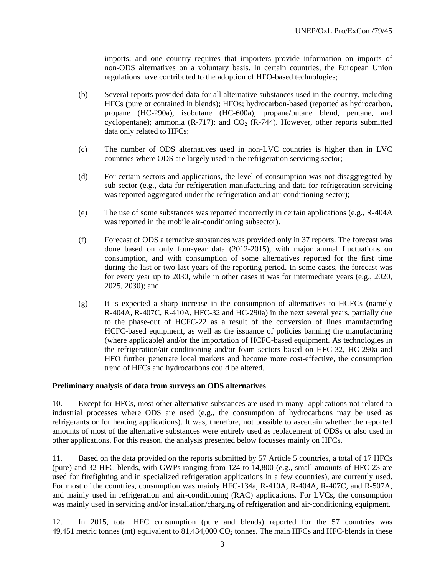imports; and one country requires that importers provide information on imports of non-ODS alternatives on a voluntary basis. In certain countries, the European Union regulations have contributed to the adoption of HFO-based technologies;

- (b) Several reports provided data for all alternative substances used in the country, including HFCs (pure or contained in blends); HFOs; hydrocarbon-based (reported as hydrocarbon, propane (HC-290a), isobutane (HC-600a), propane/butane blend, pentane, and cyclopentane); ammonia (R-717); and  $CO<sub>2</sub>$  (R-744). However, other reports submitted data only related to HFCs;
- (c) The number of ODS alternatives used in non-LVC countries is higher than in LVC countries where ODS are largely used in the refrigeration servicing sector;
- (d) For certain sectors and applications, the level of consumption was not disaggregated by sub-sector (e.g., data for refrigeration manufacturing and data for refrigeration servicing was reported aggregated under the refrigeration and air-conditioning sector);
- (e) The use of some substances was reported incorrectly in certain applications (e.g., R-404A was reported in the mobile air-conditioning subsector).
- (f) Forecast of ODS alternative substances was provided only in 37 reports. The forecast was done based on only four-year data (2012-2015), with major annual fluctuations on consumption, and with consumption of some alternatives reported for the first time during the last or two-last years of the reporting period. In some cases, the forecast was for every year up to 2030, while in other cases it was for intermediate years (e.g., 2020, 2025, 2030); and
- (g) It is expected a sharp increase in the consumption of alternatives to HCFCs (namely R-404A, R-407C, R-410A, HFC-32 and HC-290a) in the next several years, partially due to the phase-out of HCFC-22 as a result of the conversion of lines manufacturing HCFC-based equipment, as well as the issuance of policies banning the manufacturing (where applicable) and/or the importation of HCFC-based equipment. As technologies in the refrigeration/air-conditioning and/or foam sectors based on HFC-32, HC-290a and HFO further penetrate local markets and become more cost-effective, the consumption trend of HFCs and hydrocarbons could be altered.

## **Preliminary analysis of data from surveys on ODS alternatives**

10. Except for HFCs, most other alternative substances are used in many applications not related to industrial processes where ODS are used (e.g., the consumption of hydrocarbons may be used as refrigerants or for heating applications). It was, therefore, not possible to ascertain whether the reported amounts of most of the alternative substances were entirely used as replacement of ODSs or also used in other applications. For this reason, the analysis presented below focusses mainly on HFCs.

11. Based on the data provided on the reports submitted by 57 Article 5 countries, a total of 17 HFCs (pure) and 32 HFC blends, with GWPs ranging from 124 to 14,800 (e.g., small amounts of HFC-23 are used for firefighting and in specialized refrigeration applications in a few countries), are currently used. For most of the countries, consumption was mainly HFC-134a, R-410A, R-404A, R-407C, and R-507A, and mainly used in refrigeration and air-conditioning (RAC) applications. For LVCs, the consumption was mainly used in servicing and/or installation/charging of refrigeration and air-conditioning equipment.

12. In 2015, total HFC consumption (pure and blends) reported for the 57 countries was 49,451 metric tonnes (mt) equivalent to  $81,434,000$  CO<sub>2</sub> tonnes. The main HFCs and HFC-blends in these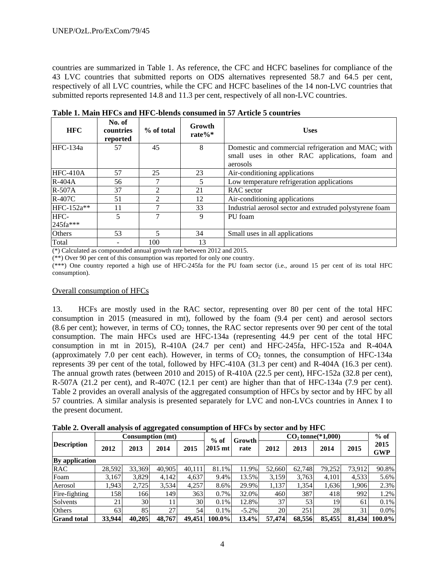countries are summarized in Table 1. As reference, the CFC and HCFC baselines for compliance of the 43 LVC countries that submitted reports on ODS alternatives represented 58.7 and 64.5 per cent, respectively of all LVC countries, while the CFC and HCFC baselines of the 14 non-LVC countries that submitted reports represented 14.8 and 11.3 per cent, respectively of all non-LVC countries.

| <b>HFC</b> | No. of<br>countries<br>reported | % of total | Growth<br>rate $%^*$ | <b>Uses</b>                                             |
|------------|---------------------------------|------------|----------------------|---------------------------------------------------------|
| HFC-134a   | 57                              | 45         | 8                    | Domestic and commercial refrigeration and MAC; with     |
|            |                                 |            |                      | small uses in other RAC applications, foam and          |
|            |                                 |            |                      | aerosols                                                |
| $HFC-410A$ | 57                              | 25         | 23                   | Air-conditioning applications                           |
| $R-404A$   | 56                              |            | 5                    | Low temperature refrigeration applications              |
| R-507A     | 37                              |            | 21                   | RAC sector                                              |
| R-407C     | 51                              | າ          | 12                   | Air-conditioning applications                           |
| HFC-152a** | 11                              |            | 33                   | Industrial aerosol sector and extruded polystyrene foam |
| HFC-       | 5                               | 7          | 9                    | PU foam                                                 |
| 245fa***   |                                 |            |                      |                                                         |
| Others     | 53                              |            | 34                   | Small uses in all applications                          |
| Total      |                                 | 100        | 13                   |                                                         |

**Table 1. Main HFCs and HFC-blends consumed in 57 Article 5 countries** 

(\*) Calculated as compounded annual growth rate between 2012 and 2015.

(\*\*) Over 90 per cent of this consumption was reported for only one country.

(\*\*\*) One country reported a high use of HFC-245fa for the PU foam sector (i.e., around 15 per cent of its total HFC consumption).

## Overall consumption of HFCs

13. HCFs are mostly used in the RAC sector, representing over 80 per cent of the total HFC consumption in 2015 (measured in mt), followed by the foam (9.4 per cent) and aerosol sectors (8.6 per cent); however, in terms of  $CO<sub>2</sub>$  tonnes, the RAC sector represents over 90 per cent of the total consumption. The main HFCs used are HFC-134a (representing 44.9 per cent of the total HFC consumption in mt in 2015), R-410A (24.7 per cent) and HFC-245fa, HFC-152a and R-404A (approximately 7.0 per cent each). However, in terms of  $CO<sub>2</sub>$  tonnes, the consumption of HFC-134a represents 39 per cent of the total, followed by HFC-410A (31.3 per cent) and R-404A (16.3 per cent). The annual growth rates (between 2010 and 2015) of R-410A (22.5 per cent), HFC-152a (32.8 per cent), R-507A (21.2 per cent), and R-407C (12.1 per cent) are higher than that of HFC-134a (7.9 per cent). Table 2 provides an overall analysis of the aggregated consumption of HFCs by sector and by HFC by all 57 countries. A similar analysis is presented separately for LVC and non-LVCs countries in Annex I to the present document.

**Table 2. Overall analysis of aggregated consumption of HFCs by sector and by HFC** 

|                       |        | <b>Consumption</b> (mt) |        |        | $%$ of    | Growth   | $CO2$ tonne(*1,000) |        | $%$ of          |        |                    |
|-----------------------|--------|-------------------------|--------|--------|-----------|----------|---------------------|--------|-----------------|--------|--------------------|
| <b>Description</b>    | 2012   | 2013                    | 2014   | 2015   | $2015$ mt | rate     | 2012                | 2013   | 2014            | 2015   | 2015<br><b>GWP</b> |
| <b>By</b> application |        |                         |        |        |           |          |                     |        |                 |        |                    |
| <b>RAC</b>            | 28.592 | 33.369                  | 40.905 | 40.111 | 81.1%     | 11.9%    | 52,660              | 62.748 | 79.252          | 73.912 | 90.8%              |
| Foam                  | 3,167  | 3,829                   | 4,142  | 4,637  | 9.4%      | 13.5%    | 3,159               | 3,763  | 4,101           | 4,533  | 5.6%               |
| Aerosol               | 1,943  | 2,725                   | 3,534  | 4,257  | 8.6%      | 29.9%    | 1,137               | 1,354  | 1,636           | 1,906  | 2.3%               |
| Fire-fighting         | 1581   | 166                     | 1491   | 363    | 0.7%      | 32.0%    | 460                 | 387    | 418             | 992    | 1.2%               |
| Solvents              | 21     | 30 <sup>l</sup>         |        | 30     | $0.1\%$   | 12.8%    | 37                  | 53     | 19              | 61     | 0.1%               |
| <b>Others</b>         | 63     | 85                      | 27     | 54     | $0.1\%$   | $-5.2\%$ | <b>20</b>           | 251    | 28 <sub>1</sub> | 31     | $0.0\%$            |
| <b>Grand</b> total    | 33,944 | 40.205                  | 48.767 | 49.451 | $100.0\%$ | 13.4%    | 57.474              | 68.556 | 85,455          | 81.434 | $100.0\%$          |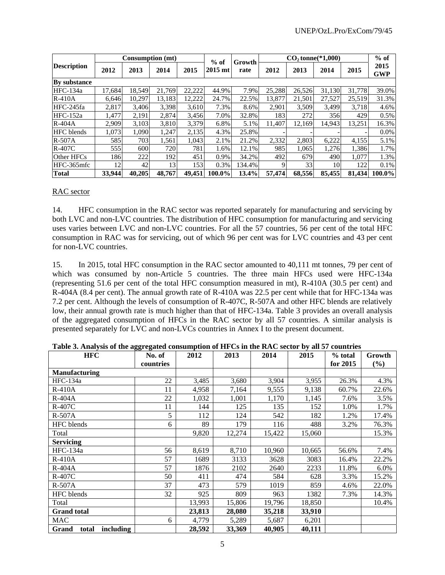|                     |        |        | <b>Consumption</b> (mt) |        | $%$ of    | Growth |        | $CO$ , tonne $(*1.000)$ |        |        | $%$ of             |
|---------------------|--------|--------|-------------------------|--------|-----------|--------|--------|-------------------------|--------|--------|--------------------|
| <b>Description</b>  | 2012   | 2013   | 2014                    | 2015   | $2015$ mt | rate   | 2012   | 2013                    | 2014   | 2015   | 2015<br><b>GWP</b> |
| <b>By substance</b> |        |        |                         |        |           |        |        |                         |        |        |                    |
| HFC-134a            | 17.684 | 18.549 | 21.769                  | 22,222 | 44.9%     | 7.9%   | 25,288 | 26,526                  | 31,130 | 31,778 | 39.0%              |
| $R-410A$            | 6.646  | 10.297 | 13.183                  | 12,222 | 24.7%     | 22.5%  | 13.877 | 21.501                  | 27,527 | 25.519 | 31.3%              |
| HFC-245fa           | 2.817  | 3.406  | 3,398                   | 3,610  | 7.3%      | 8.6%   | 2,901  | 3,509                   | 3,499  | 3.718  | 4.6%               |
| HFC-152a            | 1,477  | 2,191  | 2,874                   | 3,456  | 7.0%      | 32.8%  | 183    | 272                     | 356    | 429    | 0.5%               |
| $R-404A$            | 2.909  | 3,103  | 3.810                   | 3,379  | 6.8%      | 5.1%   | 11.407 | 12.169                  | 14.943 | 13.251 | 16.3%              |
| <b>HFC</b> blends   | 1,073  | 1,090  | 1,247                   | 2,135  | 4.3%      | 25.8%  |        |                         |        |        | $0.0\%$            |
| $R-507A$            | 585    | 703    | 1,561                   | 1,043  | 2.1%      | 21.2%  | 2,332  | 2,803                   | 6,222  | 4,155  | 5.1%               |
| R-407C              | 555    | 600    | 720                     | 781    | 1.6%      | 12.1%  | 985    | 1,065                   | 1,276  | 1,386  | 1.7%               |
| Other HFCs          | 186    | 222    | 192                     | 451    | 0.9%      | 34.2%  | 492    | 679                     | 490    | 1.077  | 1.3%               |
| HFC-365mfc          | 12     | 42     | 13                      | 153    | 0.3%      | 134.4% | 9      | 33                      | 10     | 122    | $0.1\%$            |
| Total               | 33,944 | 40,205 | 48,767                  | 49.451 | 100.0%    | 13.4%  | 57.474 | 68,556                  | 85,455 | 81.434 | $100.0\%$          |

#### RAC sector

14. HFC consumption in the RAC sector was reported separately for manufacturing and servicing by both LVC and non-LVC countries. The distribution of HFC consumption for manufacturing and servicing uses varies between LVC and non-LVC countries. For all the 57 countries, 56 per cent of the total HFC consumption in RAC was for servicing, out of which 96 per cent was for LVC countries and 43 per cent for non-LVC countries.

15. In 2015, total HFC consumption in the RAC sector amounted to 40,111 mt tonnes, 79 per cent of which was consumed by non-Article 5 countries. The three main HFCs used were HFC-134a (representing 51.6 per cent of the total HFC consumption measured in mt), R-410A (30.5 per cent) and R-404A (8.4 per cent). The annual growth rate of R-410A was 22.5 per cent while that for HFC-134a was 7.2 per cent. Although the levels of consumption of R-407C, R-507A and other HFC blends are relatively low, their annual growth rate is much higher than that of HFC-134a. Table 3 provides an overall analysis of the aggregated consumption of HFCs in the RAC sector by all 57 countries. A similar analysis is presented separately for LVC and non-LVCs countries in Annex I to the present document.

| <b>HFC</b>                         | No. of    | 2012   | 2013   | 2014   | 2015   | % total  | Growth |
|------------------------------------|-----------|--------|--------|--------|--------|----------|--------|
|                                    | countries |        |        |        |        | for 2015 | $(\%)$ |
| <b>Manufacturing</b>               |           |        |        |        |        |          |        |
| $HFC-134a$                         | 22        | 3,485  | 3,680  | 3,904  | 3,955  | 26.3%    | 4.3%   |
| $R-410A$                           | 11        | 4,958  | 7,164  | 9,555  | 9,138  | 60.7%    | 22.6%  |
| $R-404A$                           | 22        | 1,032  | 1,001  | 1,170  | 1,145  | 7.6%     | 3.5%   |
| $R-407C$                           | 11        | 144    | 125    | 135    | 152    | 1.0%     | 1.7%   |
| $R-507A$                           | 5         | 112    | 124    | 542    | 182    | 1.2%     | 17.4%  |
| HFC blends                         | 6         | 89     | 179    | 116    | 488    | 3.2%     | 76.3%  |
| Total                              |           | 9,820  | 12,274 | 15,422 | 15,060 |          | 15.3%  |
| <b>Servicing</b>                   |           |        |        |        |        |          |        |
| HFC-134a                           | 56        | 8,619  | 8,710  | 10,960 | 10,665 | 56.6%    | 7.4%   |
| $R-410A$                           | 57        | 1689   | 3133   | 3628   | 3083   | 16.4%    | 22.2%  |
| R-404A                             | 57        | 1876   | 2102   | 2640   | 2233   | 11.8%    | 6.0%   |
| $R-407C$                           | 50        | 411    | 474    | 584    | 628    | 3.3%     | 15.2%  |
| R-507A                             | 37        | 473    | 579    | 1019   | 859    | 4.6%     | 22.0%  |
| HFC blends                         | 32        | 925    | 809    | 963    | 1382   | 7.3%     | 14.3%  |
| Total                              |           | 13,993 | 15,806 | 19,796 | 18,850 |          | 10.4%  |
| <b>Grand</b> total                 |           | 23,813 | 28,080 | 35,218 | 33,910 |          |        |
| MAC                                | 6         | 4,779  | 5,289  | 5,687  | 6,201  |          |        |
| including<br><b>Grand</b><br>total |           | 28,592 | 33,369 | 40,905 | 40,111 |          |        |

**Table 3. Analysis of the aggregated consumption of HFCs in the RAC sector by all 57 countries**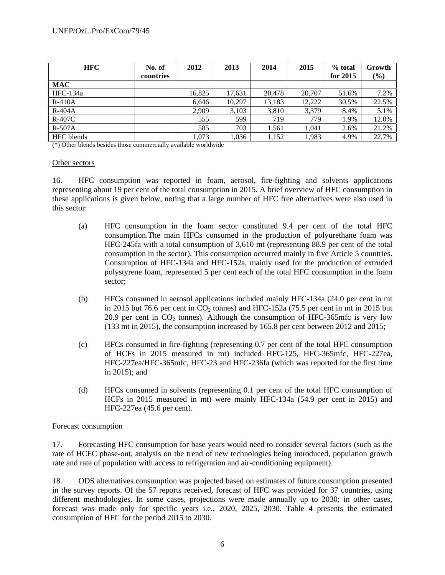| <b>HFC</b>    | No. of    | 2012   | 2013   | 2014   | 2015   | % total  | Growth |
|---------------|-----------|--------|--------|--------|--------|----------|--------|
|               | countries |        |        |        |        | for 2015 | (%)    |
| <b>MAC</b>    |           |        |        |        |        |          |        |
| HFC-134a      |           | 16,825 | 17,631 | 20,478 | 20,707 | 51.6%    | 7.2%   |
| $R-410A$      |           | 6,646  | 10,297 | 13,183 | 12,222 | 30.5%    | 22.5%  |
| $R-404A$      |           | 2,909  | 3,103  | 3,810  | 3,379  | 8.4%     | 5.1%   |
| <b>R-407C</b> |           | 555    | 599    | 719    | 779    | 1.9%     | 12.0%  |
| $R-507A$      |           | 585    | 703    | 1,561  | 1.041  | 2.6%     | 21.2%  |
| HFC blends    |           | 1,073  | 1,036  | 1,152  | 1,983  | 4.9%     | 22.7%  |

(\*) Other blends besides those commercially available worldwide

#### Other sectors

16. HFC consumption was reported in foam, aerosol, fire-fighting and solvents applications representing about 19 per cent of the total consumption in 2015. A brief overview of HFC consumption in these applications is given below, noting that a large number of HFC free alternatives were also used in this sector:

- (a) HFC consumption in the foam sector constituted 9.4 per cent of the total HFC consumption.The main HFCs consumed in the production of polyurethane foam was HFC-245fa with a total consumption of 3,610 mt (representing 88.9 per cent of the total consumption in the sector). This consumption occurred mainly in five Article 5 countries. Consumption of HFC-134a and HFC-152a, mainly used for the production of extruded polystyrene foam, represented 5 per cent each of the total HFC consumption in the foam sector;
- (b) HFCs consumed in aerosol applications included mainly HFC-134a (24.0 per cent in mt in 2015 but 76.6 per cent in  $CO<sub>2</sub>$  tonnes) and HFC-152a (75.5 per cent in mt in 2015 but 20.9 per cent in  $CO<sub>2</sub>$  tonnes). Although the consumption of HFC-365mfc is very low (133 mt in 2015), the consumption increased by 165.8 per cent between 2012 and 2015;
- (c) HFCs consumed in fire-fighting (representing 0.7 per cent of the total HFC consumption of HCFs in 2015 measured in mt) included HFC-125, HFC-365mfc, HFC-227ea, HFC-227ea/HFC-365mfc, HFC-23 and HFC-236fa (which was reported for the first time in 2015); and
- (d) HFCs consumed in solvents (representing 0.1 per cent of the total HFC consumption of HCFs in 2015 measured in mt) were mainly HFC-134a (54.9 per cent in 2015) and HFC-227ea (45.6 per cent).

## Forecast consumption

17. Forecasting HFC consumption for base years would need to consider several factors (such as the rate of HCFC phase-out, analysis on the trend of new technologies being introduced, population growth rate and rate of population with access to refrigeration and air-conditioning equipment).

18. ODS alternatives consumption was projected based on estimates of future consumption presented in the survey reports. Of the 57 reports received, forecast of HFC was provided for 37 countries, using different methodologies. In some cases, projections were made annually up to 2030; in other cases, forecast was made only for specific years i.e., 2020, 2025, 2030. Table 4 presents the estimated consumption of HFC for the period 2015 to 2030.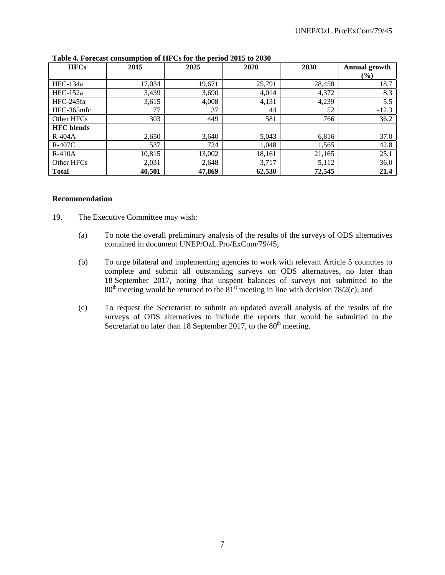| <b>HFCs</b>       | 2015   | 2025   | 2020   | <b>2030</b> | <b>Annual growth</b> |
|-------------------|--------|--------|--------|-------------|----------------------|
|                   |        |        |        |             | $($ %)               |
| HFC-134a          | 17,034 | 19,671 | 25,791 | 28,458      | 18.7                 |
| $HFC-152a$        | 3,439  | 3,690  | 4,014  | 4,372       | 8.3                  |
| HFC-245fa         | 3,615  | 4,008  | 4,131  | 4,239       | 5.5                  |
| HFC-365mfc        | 77     | 37     | 44     | 52          | $-12.3$              |
| Other HFCs        | 303    | 449    | 581    | 766         | 36.2                 |
| <b>HFC</b> blends |        |        |        |             |                      |
| $R-404A$          | 2,650  | 3,640  | 5,043  | 6,816       | 37.0                 |
| $R-407C$          | 537    | 724    | 1,048  | 1,565       | 42.8                 |
| $R-410A$          | 10,815 | 13,002 | 18,161 | 21,165      | 25.1                 |
| Other HFCs        | 2,031  | 2,648  | 3,717  | 5,112       | 36.0                 |
| <b>Total</b>      | 40,501 | 47,869 | 62,530 | 72,545      | 21.4                 |

**Table 4. Forecast consumption of HFCs for the period 2015 to 2030** 

#### **Recommendation**

- 19. The Executive Committee may wish:
	- (a) To note the overall preliminary analysis of the results of the surveys of ODS alternatives contained in document UNEP/OzL.Pro/ExCom/79/45;
	- (b) To urge bilateral and implementing agencies to work with relevant Article 5 countries to complete and submit all outstanding surveys on ODS alternatives, no later than 18 September 2017, noting that unspent balances of surveys not submitted to the  $80<sup>th</sup>$  meeting would be returned to the  $81<sup>st</sup>$  meeting in line with decision 78/2(c); and
	- (c) To request the Secretariat to submit an updated overall analysis of the results of the surveys of ODS alternatives to include the reports that would be submitted to the Secretariat no later than 18 September 2017, to the  $80<sup>th</sup>$  meeting.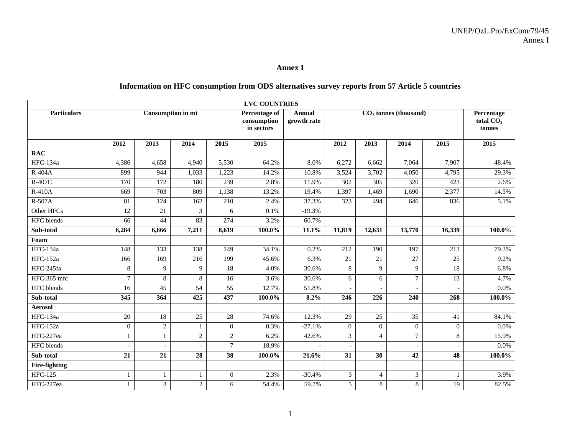#### **Annex I**

## **Information on HFC consumption from ODS alternatives survey reports from 57 Article 5 countries**

|                      |                  |                          |                  |                 | <b>LVC COUNTRIES</b>                       |                              |                 |                         |                |                 |                                     |
|----------------------|------------------|--------------------------|------------------|-----------------|--------------------------------------------|------------------------------|-----------------|-------------------------|----------------|-----------------|-------------------------------------|
| <b>Particulars</b>   |                  | <b>Consumption in mt</b> |                  |                 | Percentage of<br>consumption<br>in sectors | <b>Annual</b><br>growth rate |                 | $CO2$ tonnes (thousand) |                |                 | Percentage<br>total $CO2$<br>tonnes |
|                      | 2012             | 2013                     | 2014             | 2015            | 2015                                       |                              | 2012            | 2013                    | 2014           | 2015            | 2015                                |
| <b>RAC</b>           |                  |                          |                  |                 |                                            |                              |                 |                         |                |                 |                                     |
| <b>HFC-134a</b>      | 4,386            | 4,658                    | 4,940            | 5,530           | 64.2%                                      | 8.0%                         | 6,272           | 6,662                   | 7,064          | 7,907           | 48.4%                               |
| R-404A               | 899              | 944                      | 1,033            | 1,223           | 14.2%                                      | 10.8%                        | 3,524           | 3,702                   | 4,050          | 4,795           | 29.3%                               |
| R-407C               | $\overline{170}$ | $\overline{172}$         | 180              | 239             | 2.8%                                       | 11.9%                        | 302             | $\overline{305}$        | 320            | 423             | 2.6%                                |
| R-410A               | 669              | 703                      | 809              | 1,138           | 13.2%                                      | 19.4%                        | 1,397           | 1,469                   | 1,690          | 2,377           | 14.5%                               |
| R-507A               | $\overline{81}$  | 124                      | 162              | 210             | 2.4%                                       | 37.3%                        | 323             | 494                     | 646            | 836             | 5.1%                                |
| Other HFCs           | 12               | $\overline{21}$          | 3                | 6               | 0.1%                                       | $-19.3%$                     |                 |                         |                |                 |                                     |
| <b>HFC</b> blends    | 66               | 44                       | 83               | 274             | 3.2%                                       | 60.7%                        |                 |                         |                |                 |                                     |
| Sub-total            | 6,284            | 6,666                    | 7,211            | 8,619           | $100.0\%$                                  | 11.1%                        | 11,819          | 12,631                  | 13,770         | 16,339          | 100.0%                              |
| Foam                 |                  |                          |                  |                 |                                            |                              |                 |                         |                |                 |                                     |
| <b>HFC-134a</b>      | 148              | 133                      | 138              | 149             | 34.1%                                      | 0.2%                         | 212             | 190                     | 197            | 213             | 79.3%                               |
| <b>HFC-152a</b>      | 166              | 169                      | 216              | 199             | 45.6%                                      | 6.3%                         | $\overline{21}$ | 21                      | 27             | $\overline{25}$ | 9.2%                                |
| HFC-245fa            | 8                | 9                        | 9                | 18              | 4.0%                                       | 30.6%                        | 8               | 9                       | 9              | 18              | 6.8%                                |
| HFC-365 mfc          | 7                | 8                        | 8                | 16              | 3.6%                                       | 30.6%                        | 6               | 6                       | 7              | $\overline{13}$ | 4.7%                                |
| <b>HFC</b> blends    | $\overline{16}$  | $\overline{45}$          | $\overline{54}$  | $\overline{55}$ | 12.7%                                      | 51.8%                        |                 |                         |                |                 | 0.0%                                |
| Sub-total            | $\overline{345}$ | $\overline{364}$         | $\overline{425}$ | 437             | 100.0%                                     | 8.2%                         | 246             | 226                     | 240            | 268             | 100.0%                              |
| <b>Aerosol</b>       |                  |                          |                  |                 |                                            |                              |                 |                         |                |                 |                                     |
| <b>HFC-134a</b>      | 20               | $18\,$                   | 25               | 28              | 74.6%                                      | 12.3%                        | 29              | 25                      | 35             | 41              | 84.1%                               |
| <b>HFC-152a</b>      | $\Omega$         | $\overline{2}$           | $\mathbf{1}$     | $\Omega$        | 0.3%                                       | $-27.1%$                     | $\overline{0}$  | $\overline{0}$          | $\Omega$       | $\Omega$        | 0.0%                                |
| HFC-227ea            |                  |                          | $\sqrt{2}$       | $\overline{2}$  | 6.2%                                       | 42.6%                        | 3               | $\overline{4}$          | $\overline{7}$ | 8               | 15.9%                               |
| HFC blends           |                  |                          |                  | $\overline{7}$  | 18.9%                                      |                              |                 |                         |                |                 | 0.0%                                |
| Sub-total            | $\overline{21}$  | 21                       | $\overline{28}$  | 38              | 100.0%                                     | 21.6%                        | $\overline{31}$ | 30                      | 42             | 48              | 100.0%                              |
| <b>Fire-fighting</b> |                  |                          |                  |                 |                                            |                              |                 |                         |                |                 |                                     |
| <b>HFC-125</b>       |                  |                          | 1                | $\Omega$        | 2.3%                                       | $-30.4%$                     | 3               | 4                       | 3              |                 | 3.9%                                |
| HFC-227ea            | 1                | $\overline{\mathbf{3}}$  | $\overline{c}$   | 6               | 54.4%                                      | 59.7%                        | 5               | 8                       | 8              | $\overline{19}$ | 82.5%                               |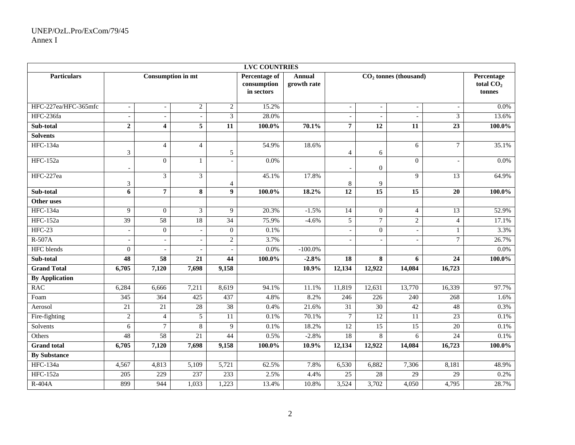| <b>LVC COUNTRIES</b>  |                          |                          |                          |                  |                                                   |                              |                          |                          |                          |                 |                                     |
|-----------------------|--------------------------|--------------------------|--------------------------|------------------|---------------------------------------------------|------------------------------|--------------------------|--------------------------|--------------------------|-----------------|-------------------------------------|
| <b>Particulars</b>    |                          |                          | <b>Consumption in mt</b> |                  | <b>Percentage of</b><br>consumption<br>in sectors | <b>Annual</b><br>growth rate |                          |                          | $CO2$ tonnes (thousand)  |                 | Percentage<br>total $CO2$<br>tonnes |
| HFC-227ea/HFC-365mfc  | $\overline{\phantom{a}}$ | $\overline{\phantom{m}}$ | $\overline{c}$           | $\overline{2}$   | 15.2%                                             |                              | $\overline{\phantom{a}}$ | $\overline{\phantom{a}}$ | $\overline{\phantom{a}}$ |                 | 0.0%                                |
| HFC-236fa             | $\overline{a}$           |                          | $\overline{a}$           | 3                | 28.0%                                             |                              | $\overline{a}$           | $\overline{a}$           |                          | 3               | 13.6%                               |
| Sub-total             | $\mathbf 2$              | $\overline{\mathbf{4}}$  | $\overline{5}$           | $\overline{11}$  | $100.0\%$                                         | 70.1%                        | $\overline{7}$           | $\overline{12}$          | $\overline{11}$          | $\overline{23}$ | 100.0%                              |
| <b>Solvents</b>       |                          |                          |                          |                  |                                                   |                              |                          |                          |                          |                 |                                     |
| <b>HFC-134a</b>       | 3                        | $\overline{4}$           | $\overline{4}$           | 5                | 54.9%                                             | 18.6%                        | $\overline{4}$           | 6                        | 6                        | $7\phantom{.0}$ | 35.1%                               |
| <b>HFC-152a</b>       | $\overline{\phantom{a}}$ | $\overline{0}$           | $\mathbf{1}$             |                  | 0.0%                                              |                              | $\overline{\phantom{a}}$ | 0                        | $\mathbf{0}$             |                 | 0.0%                                |
| HFC-227ea             | 3                        | $\overline{3}$           | $\overline{3}$           | 4                | 45.1%                                             | 17.8%                        | 8                        | 9                        | 9                        | 13              | 64.9%                               |
| Sub-total             | 6                        | $\overline{7}$           | 8                        | $\boldsymbol{9}$ | $100.0\%$                                         | 18.2%                        | $\overline{12}$          | 15                       | $\overline{15}$          | $\overline{20}$ | 100.0%                              |
| Other uses            |                          |                          |                          |                  |                                                   |                              |                          |                          |                          |                 |                                     |
| <b>HFC-134a</b>       | 9                        | $\boldsymbol{0}$         | 3                        | 9                | 20.3%                                             | $-1.5%$                      | 14                       | $\overline{0}$           | $\overline{4}$           | 13              | 52.9%                               |
| <b>HFC-152a</b>       | 39                       | $\overline{58}$          | $18\,$                   | 34               | 75.9%                                             | $-4.6%$                      | 5                        | $\tau$                   | $\sqrt{2}$               | $\overline{4}$  | 17.1%                               |
| $HFC-23$              | $\overline{a}$           | $\overline{0}$           | $\overline{\phantom{a}}$ | $\overline{0}$   | 0.1%                                              |                              | $\overline{a}$           | $\overline{0}$           | $\overline{\phantom{a}}$ | $\mathbf{1}$    | 3.3%                                |
| $R-507A$              | $\overline{\phantom{a}}$ | $\overline{a}$           | $\sim$                   | $\overline{2}$   | 3.7%                                              |                              | $\overline{\phantom{a}}$ | $\mathcal{L}$            | $\overline{a}$           | $\tau$          | 26.7%                               |
| <b>HFC</b> blends     | $\overline{0}$           |                          |                          |                  | 0.0%                                              | $-100.0\%$                   |                          |                          |                          |                 | 0.0%                                |
| Sub-total             | 48                       | 58                       | $\overline{21}$          | 44               | $100.0\%$                                         | $-2.8%$                      | 18                       | $\overline{\mathbf{8}}$  | 6                        | 24              | $100.0\%$                           |
| <b>Grand Total</b>    | 6,705                    | 7,120                    | 7,698                    | 9,158            |                                                   | 10.9%                        | 12,134                   | 12,922                   | 14,084                   | 16,723          |                                     |
| <b>By Application</b> |                          |                          |                          |                  |                                                   |                              |                          |                          |                          |                 |                                     |
| <b>RAC</b>            | 6,284                    | 6,666                    | 7,211                    | 8,619            | 94.1%                                             | 11.1%                        | 11,819                   | 12,631                   | 13,770                   | 16,339          | 97.7%                               |
| Foam                  | 345                      | 364                      | 425                      | 437              | 4.8%                                              | 8.2%                         | 246                      | $\overline{226}$         | 240                      | 268             | 1.6%                                |
| Aerosol               | 21                       | 21                       | $28\,$                   | $\overline{38}$  | 0.4%                                              | 21.6%                        | 31                       | $\overline{30}$          | 42                       | 48              | 0.3%                                |
| Fire-fighting         | $\sqrt{2}$               | $\overline{4}$           | $\sqrt{5}$               | 11               | 0.1%                                              | 70.1%                        | $7\phantom{.0}$          | 12                       | 11                       | $\overline{23}$ | 0.1%                                |
| Solvents              | 6                        | $\overline{7}$           | 8                        | 9                | 0.1%                                              | 18.2%                        | 12                       | $\overline{15}$          | $\overline{15}$          | $\overline{20}$ | 0.1%                                |
| Others                | 48                       | 58                       | 21                       | 44               | 0.5%                                              | $-2.8%$                      | 18                       | 8                        | 6                        | 24              | $0.1\%$                             |
| <b>Grand</b> total    | 6,705                    | 7,120                    | 7,698                    | 9,158            | 100.0%                                            | 10.9%                        | 12,134                   | 12,922                   | 14,084                   | 16,723          | 100.0%                              |
| <b>By Substance</b>   |                          |                          |                          |                  |                                                   |                              |                          |                          |                          |                 |                                     |
| <b>HFC-134a</b>       | 4,567                    | 4,813                    | 5,109                    | 5,721            | 62.5%                                             | 7.8%                         | 6,530                    | 6,882                    | 7,306                    | 8,181           | 48.9%                               |
| <b>HFC-152a</b>       | $\overline{205}$         | 229                      | 237                      | 233              | 2.5%                                              | 4.4%                         | $\overline{25}$          | 28                       | $\overline{29}$          | $\overline{29}$ | 0.2%                                |
| $R-404A$              | 899                      | 944                      | 1,033                    | 1,223            | 13.4%                                             | 10.8%                        | 3,524                    | 3,702                    | 4,050                    | 4,795           | 28.7%                               |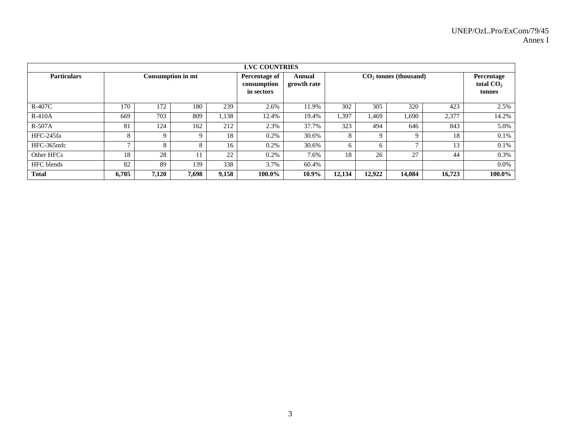| <b>LVC COUNTRIES</b> |       |             |                          |       |                                            |                       |        |             |                         |        |                                     |  |  |  |
|----------------------|-------|-------------|--------------------------|-------|--------------------------------------------|-----------------------|--------|-------------|-------------------------|--------|-------------------------------------|--|--|--|
| <b>Particulars</b>   |       |             | <b>Consumption in mt</b> |       | Percentage of<br>consumption<br>in sectors | Annual<br>growth rate |        |             | $CO2$ tonnes (thousand) |        | Percentage<br>total $CO2$<br>tonnes |  |  |  |
| R-407C               | 170   | 172         | 180                      | 239   | 2.6%                                       | 11.9%                 | 302    | 305         | 320                     | 423    | 2.5%                                |  |  |  |
| $R-410A$             | 669   | 703         | 809                      | 1,138 | 12.4%                                      | 19.4%                 | 1,397  | 1.469       | 1,690                   | 2,377  | 14.2%                               |  |  |  |
| $R-507A$             | 81    | 124         | 162                      | 212   | 2.3%                                       | 37.7%                 | 323    | 494         | 646                     | 843    | 5.0%                                |  |  |  |
| HFC-245fa            | 8     | $\mathbf Q$ | 9                        | 18    | 0.2%                                       | 30.6%                 | 8      | $\mathbf Q$ | 9                       | 18     | 0.1%                                |  |  |  |
| HFC-365mfc           |       | 8           | 8                        | 16    | 0.2%                                       | 30.6%                 | 6      | 6           | $\mathbf{r}$            | 13     | 0.1%                                |  |  |  |
| Other HFCs           | 18    | 28          | 11                       | 22    | 0.2%                                       | 7.6%                  | 18     | 26          | 27                      | 44     | 0.3%                                |  |  |  |
| <b>HFC</b> blends    | 82    | 89          | 139                      | 338   | 3.7%                                       | 60.4%                 |        |             |                         |        | $0.0\%$                             |  |  |  |
| <b>Total</b>         | 6,705 | 7,120       | 7,698                    | 9,158 | 100.0%                                     | 10.9%                 | 12,134 | 12.922      | 14,084                  | 16,723 | 100.0%                              |  |  |  |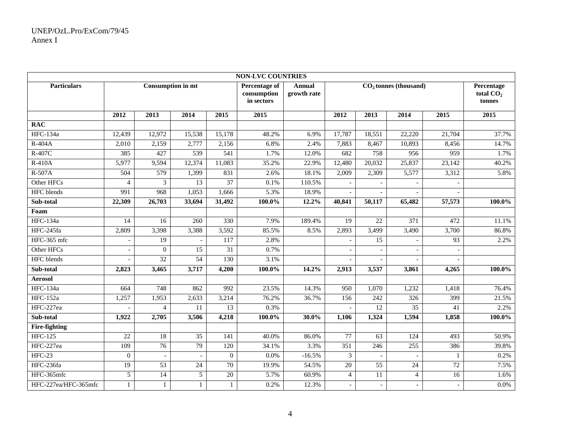| <b>NON-LVC COUNTRIES</b> |                 |                          |                 |                 |                                            |                              |                          |                          |                  |                 |           |
|--------------------------|-----------------|--------------------------|-----------------|-----------------|--------------------------------------------|------------------------------|--------------------------|--------------------------|------------------|-----------------|-----------|
| <b>Particulars</b>       |                 | <b>Consumption in mt</b> |                 |                 | Percentage of<br>consumption<br>in sectors | <b>Annual</b><br>growth rate |                          | $CO2$ tonnes (thousand)  |                  |                 |           |
|                          | 2012            | 2013                     | 2014            | 2015            | 2015                                       |                              | 2012                     | 2013                     | 2014             | 2015            | 2015      |
| <b>RAC</b>               |                 |                          |                 |                 |                                            |                              |                          |                          |                  |                 |           |
| <b>HFC-134a</b>          | 12,439          | 12,972                   | 15,538          | 15,178          | 48.2%                                      | 6.9%                         | 17,787                   | 18,551                   | 22,220           | 21,704          | 37.7%     |
| $R-404A$                 | 2,010           | 2,159                    | 2,777           | 2,156           | 6.8%                                       | 2.4%                         | 7,883                    | 8,467                    | 10,893           | 8,456           | 14.7%     |
| R-407C                   | 385             | 427                      | 539             | 541             | 1.7%                                       | 12.0%                        | 682                      | 758                      | 956              | 959             | 1.7%      |
| $R-410A$                 | 5,977           | 9,594                    | 12,374          | 11,083          | 35.2%                                      | 22.9%                        | 12,480                   | 20,032                   | 25,837           | 23,142          | 40.2%     |
| $R-507A$                 | 504             | 579                      | 1,399           | 831             | 2.6%                                       | 18.1%                        | 2,009                    | 2,309                    | 5,577            | 3,312           | 5.8%      |
| Other HFCs               | $\overline{4}$  | 3                        | 13              | 37              | 0.1%                                       | 110.5%                       |                          |                          |                  |                 |           |
| <b>HFC</b> blends        | 991             | 968                      | 1,053           | 1,666           | 5.3%                                       | 18.9%                        |                          |                          |                  |                 |           |
| Sub-total                | 22,309          | $\overline{26,703}$      | 33,694          | 31,492          | 100.0%                                     | 12.2%                        | 40,841                   | $\overline{50,}117$      | 65,482           | 57,573          | 100.0%    |
| Foam                     |                 |                          |                 |                 |                                            |                              |                          |                          |                  |                 |           |
| <b>HFC-134a</b>          | 14              | 16                       | 260             | 330             | 7.9%                                       | 189.4%                       | 19                       | $\overline{22}$          | $\overline{371}$ | 472             | 11.1%     |
| HFC-245fa                | 2,809           | 3,398                    | 3,388           | 3,592           | 85.5%                                      | 8.5%                         | 2,893                    | 3,499                    | 3,490            | 3,700           | 86.8%     |
| HFC-365 mfc              |                 | $\overline{19}$          |                 | 117             | 2.8%                                       |                              |                          | 15                       |                  | $\overline{93}$ | 2.2%      |
| Other HFCs               |                 | $\boldsymbol{0}$         | 15              | 31              | 0.7%                                       |                              |                          |                          |                  |                 |           |
| <b>HFC</b> blends        |                 | $\overline{32}$          | $\overline{54}$ | 130             | 3.1%                                       |                              |                          |                          |                  |                 |           |
| Sub-total                | 2,823           | 3,465                    | 3,717           | 4,200           | $100.0\%$                                  | 14.2%                        | 2,913                    | 3,537                    | 3,861            | 4,265           | $100.0\%$ |
| <b>Aerosol</b>           |                 |                          |                 |                 |                                            |                              |                          |                          |                  |                 |           |
| <b>HFC-134a</b>          | 664             | 748                      | 862             | 992             | 23.5%                                      | 14.3%                        | 950                      | 1,070                    | 1,232            | 1,418           | 76.4%     |
| <b>HFC-152a</b>          | 1,257           | 1,953                    | 2,633           | 3,214           | 76.2%                                      | 36.7%                        | 156                      | 242                      | 326              | 399             | 21.5%     |
| HFC-227ea                |                 | $\overline{4}$           | 11              | 13              | 0.3%                                       |                              |                          | 12                       | 35               | 41              | 2.2%      |
| Sub-total                | 1,922           | 2,705                    | 3,506           | 4,218           | 100.0%                                     | 30.0%                        | 1,106                    | 1,324                    | 1,594            | 1,858           | 100.0%    |
| <b>Fire-fighting</b>     |                 |                          |                 |                 |                                            |                              |                          |                          |                  |                 |           |
| <b>HFC-125</b>           | $\overline{22}$ | 18                       | 35              | 141             | 40.0%                                      | 86.0%                        | 77                       | 63                       | 124              | 493             | 50.9%     |
| HFC-227ea                | 109             | $\overline{76}$          | 79              | 120             | 34.1%                                      | 3.3%                         | $\overline{351}$         | 246                      | 255              | 386             | 39.8%     |
| $HFC-23$                 | $\mathbf{0}$    |                          |                 | $\mathbf{0}$    | 0.0%                                       | $-16.5%$                     | 3                        |                          |                  | $\mathbf{1}$    | 0.2%      |
| HFC-236fa                | $\overline{19}$ | $\overline{53}$          | $\overline{24}$ | $\overline{70}$ | 19.9%                                      | 54.5%                        | $\overline{20}$          | 55                       | $\overline{24}$  | $\overline{72}$ | 7.5%      |
| HFC-365mfc               | 5               | $\overline{14}$          | $\sqrt{5}$      | $\overline{20}$ | 5.7%                                       | 60.9%                        | $\overline{4}$           | $\overline{11}$          | $\overline{4}$   | 16              | 1.6%      |
| HFC-227ea/HFC-365mfc     | $\mathbf{1}$    |                          | $\mathbf{1}$    | $\mathbf{1}$    | 0.2%                                       | 12.3%                        | $\overline{\phantom{a}}$ | $\overline{\phantom{a}}$ |                  |                 | 0.0%      |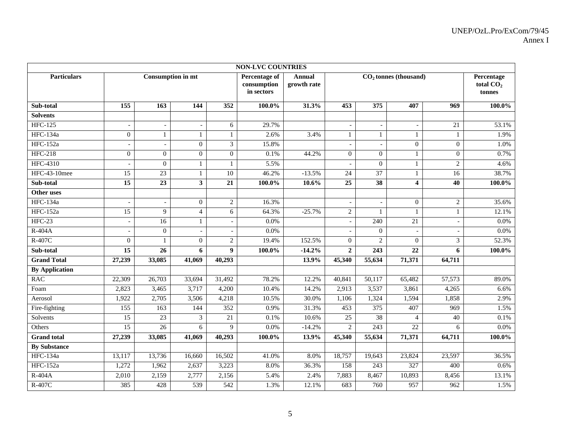| <b>NON-LVC COUNTRIES</b> |                          |                          |                             |                 |                                            |                              |                          |                          |                          |                |                                               |
|--------------------------|--------------------------|--------------------------|-----------------------------|-----------------|--------------------------------------------|------------------------------|--------------------------|--------------------------|--------------------------|----------------|-----------------------------------------------|
| <b>Particulars</b>       |                          | <b>Consumption in mt</b> |                             |                 | Percentage of<br>consumption<br>in sectors | <b>Annual</b><br>growth rate |                          |                          | $CO2$ tonnes (thousand)  |                | Percentage<br>total CO <sub>2</sub><br>tonnes |
| Sub-total                | 155                      | 163                      | 144                         | 352             | $100.0\%$                                  | 31.3%                        | 453                      | 375                      | 407                      | 969            | $100.0\%$                                     |
| <b>Solvents</b>          |                          |                          |                             |                 |                                            |                              |                          |                          |                          |                |                                               |
| <b>HFC-125</b>           | $\overline{\phantom{a}}$ | $\overline{\phantom{a}}$ | $\overline{\phantom{a}}$    | 6               | 29.7%                                      |                              | $\overline{\phantom{0}}$ | $\overline{\phantom{a}}$ | $\overline{\phantom{a}}$ | 21             | 53.1%                                         |
| <b>HFC-134a</b>          | $\boldsymbol{0}$         | $\mathbf{1}$             | 1                           | $\mathbf{1}$    | 2.6%                                       | 3.4%                         | $\mathbf{1}$             | $\mathbf{1}$             | 1                        | 1              | 1.9%                                          |
| <b>HFC-152a</b>          |                          |                          | $\mathbf{0}$                | 3               | 15.8%                                      |                              | $\sim$                   |                          | $\overline{0}$           | $\overline{0}$ | 1.0%                                          |
| <b>HFC-218</b>           | $\overline{0}$           | $\boldsymbol{0}$         | $\boldsymbol{0}$            | $\overline{0}$  | 0.1%                                       | 44.2%                        | $\overline{0}$           | $\boldsymbol{0}$         | $\mathbf{1}$             | $\overline{0}$ | 0.7%                                          |
| <b>HFC-4310</b>          |                          | $\boldsymbol{0}$         | $\mathbf{1}$                | $\mathbf{1}$    | 5.5%                                       |                              |                          | $\boldsymbol{0}$         | 1                        | $\overline{c}$ | 4.6%                                          |
| <b>HFC-43-10mee</b>      | 15                       | 23                       | $\mathbf{1}$                | 10              | 46.2%                                      | $-13.5%$                     | 24                       | $\overline{37}$          | $\mathbf{1}$             | 16             | 38.7%                                         |
| Sub-total                | $\overline{15}$          | $\overline{23}$          | $\mathbf{3}$                | $\overline{21}$ | 100.0%                                     | 10.6%                        | $\overline{25}$          | $\overline{38}$          | $\boldsymbol{4}$         | 40             | $100.0\%$                                     |
| Other uses               |                          |                          |                             |                 |                                            |                              |                          |                          |                          |                |                                               |
| <b>HFC-134a</b>          |                          |                          | $\mathbf{0}$                | $\overline{c}$  | 16.3%                                      |                              |                          |                          | $\mathbf{0}$             | $\overline{2}$ | 35.6%                                         |
| <b>HFC-152a</b>          | $\overline{15}$          | $\overline{9}$           | $\overline{\mathbf{4}}$     | $\overline{6}$  | 64.3%                                      | $-25.7%$                     | $\overline{2}$           | $\mathbf{1}$             | $\mathbf{1}$             |                | 12.1%                                         |
| $HFC-23$                 | $\overline{\phantom{a}}$ | 16                       | $\mathbf{1}$                |                 | 0.0%                                       |                              | $\overline{\phantom{a}}$ | 240                      | $\overline{21}$          |                | 0.0%                                          |
| $R-404A$                 |                          | $\overline{0}$           | $\sim$                      |                 | 0.0%                                       |                              |                          | $\overline{0}$           | $\overline{a}$           |                | 0.0%                                          |
| R-407C                   | $\overline{0}$           |                          | $\boldsymbol{0}$            | $\overline{c}$  | 19.4%                                      | 152.5%                       | $\overline{0}$           | $\overline{c}$           | $\overline{0}$           | 3              | 52.3%                                         |
| Sub-total                | 15                       | 26                       | 6                           | 9               | 100.0%                                     | $-14.2%$                     | $\mathbf{2}$             | 243                      | 22                       | 6              | 100.0%                                        |
| <b>Grand Total</b>       | 27,239                   | 33,085                   | 41,069                      | 40,293          |                                            | 13.9%                        | 45,340                   | 55,634                   | 71,371                   | 64,711         |                                               |
| <b>By Application</b>    |                          |                          |                             |                 |                                            |                              |                          |                          |                          |                |                                               |
| <b>RAC</b>               | 22,309                   | 26,703                   | 33,694                      | 31,492          | 78.2%                                      | 12.2%                        | 40,841                   | 50,117                   | 65,482                   | 57,573         | 89.0%                                         |
| Foam                     | 2,823                    | 3,465                    | 3,717                       | 4,200           | 10.4%                                      | 14.2%                        | 2,913                    | 3,537                    | 3,861                    | 4,265          | 6.6%                                          |
| Aerosol                  | 1,922                    | 2,705                    | 3,506                       | 4,218           | 10.5%                                      | 30.0%                        | 1,106                    | 1,324                    | 1,594                    | 1,858          | 2.9%                                          |
| Fire-fighting            | 155                      | 163                      | 144                         | 352             | 0.9%                                       | 31.3%                        | 453                      | $\overline{375}$         | 407                      | 969            | 1.5%                                          |
| Solvents                 | 15                       | 23                       | $\boldsymbol{\mathfrak{Z}}$ | 21              | 0.1%                                       | 10.6%                        | 25                       | 38                       | 4                        | 40             | 0.1%                                          |
| Others                   | 15                       | 26                       | 6                           | 9               | 0.0%                                       | $-14.2%$                     | $\overline{2}$           | 243                      | $\overline{22}$          | 6              | 0.0%                                          |
| <b>Grand</b> total       | 27,239                   | 33,085                   | 41,069                      | 40,293          | 100.0%                                     | 13.9%                        | 45,340                   | 55,634                   | 71,371                   | 64,711         | 100.0%                                        |
| <b>By Substance</b>      |                          |                          |                             |                 |                                            |                              |                          |                          |                          |                |                                               |
| <b>HFC-134a</b>          | 13,117                   | 13,736                   | 16,660                      | 16,502          | 41.0%                                      | 8.0%                         | 18,757                   | 19,643                   | 23,824                   | 23,597         | 36.5%                                         |
| <b>HFC-152a</b>          | 1,272                    | 1,962                    | 2,637                       | 3,223           | 8.0%                                       | 36.3%                        | 158                      | $\overline{243}$         | 327                      | 400            | 0.6%                                          |
| R-404A                   | 2,010                    | 2,159                    | 2,777                       | 2,156           | 5.4%                                       | 2.4%                         | 7,883                    | 8,467                    | 10,893                   | 8,456          | 13.1%                                         |
| R-407C                   | 385                      | 428                      | 539                         | 542             | 1.3%                                       | 12.1%                        | 683                      | 760                      | 957                      | 962            | 1.5%                                          |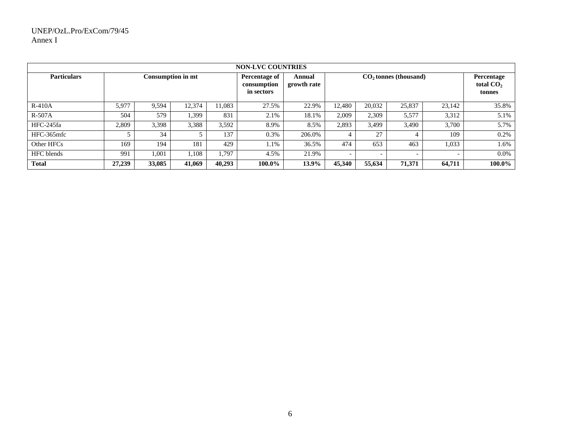| <b>NON-LVC COUNTRIES</b> |        |        |                   |        |                                            |                       |                          |                          |                         |        |                                     |  |  |
|--------------------------|--------|--------|-------------------|--------|--------------------------------------------|-----------------------|--------------------------|--------------------------|-------------------------|--------|-------------------------------------|--|--|
| <b>Particulars</b>       |        |        | Consumption in mt |        | Percentage of<br>consumption<br>in sectors | Annual<br>growth rate |                          |                          | $CO2$ tonnes (thousand) |        | Percentage<br>total $CO2$<br>tonnes |  |  |
| $R-410A$                 | 5,977  | 9,594  | 12.374            | 11,083 | 27.5%                                      | 22.9%                 | 12,480                   | 20,032                   | 25,837                  | 23.142 | 35.8%                               |  |  |
| $R-507A$                 | 504    | 579    | 1,399             | 831    | 2.1%                                       | 18.1%                 | 2,009                    | 2,309                    | 5,577                   | 3,312  | 5.1%                                |  |  |
| HFC-245fa                | 2,809  | 3,398  | 3,388             | 3,592  | 8.9%                                       | 8.5%                  | 2,893                    | 3.499                    | 3,490                   | 3.700  | 5.7%                                |  |  |
| HFC-365mfc               |        | 34     |                   | 137    | 0.3%                                       | 206.0%                |                          | 27                       |                         | 109    | 0.2%                                |  |  |
| Other HFCs               | 169    | 194    | 181               | 429    | 1.1%                                       | 36.5%                 | 474                      | 653                      | 463                     | 1,033  | 1.6%                                |  |  |
| <b>HFC</b> blends        | 991    | 1,001  | .108              | 1,797  | 4.5%                                       | 21.9%                 | $\overline{\phantom{0}}$ | $\overline{\phantom{0}}$ |                         |        | 0.0%                                |  |  |
| <b>Total</b>             | 27,239 | 33,085 | 41,069            | 40,293 | 100.0%                                     | 13.9%                 | 45,340                   | 55,634                   | 71,371                  | 64,711 | 100.0%                              |  |  |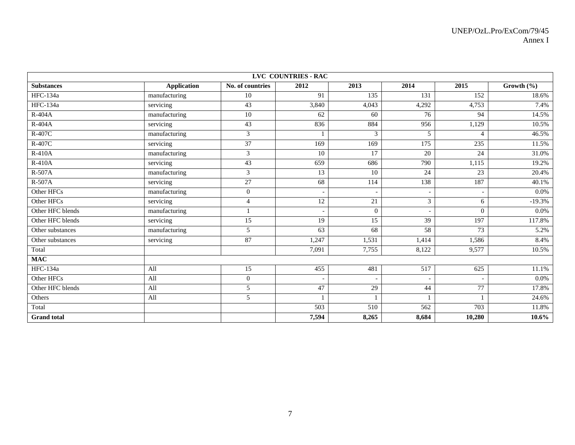| LVC COUNTRIES - RAC |                    |                  |                 |              |                  |                             |                |
|---------------------|--------------------|------------------|-----------------|--------------|------------------|-----------------------------|----------------|
| <b>Substances</b>   | <b>Application</b> | No. of countries | 2012            | 2013         | 2014             | 2015                        | Growth $(\% )$ |
| <b>HFC-134a</b>     | manufacturing      | 10               | 91              | 135          | 131              | 152                         | 18.6%          |
| <b>HFC-134a</b>     | servicing          | 43               | 3,840           | 4,043        | 4,292            | 4,753                       | 7.4%           |
| $R-404A$            | manufacturing      | $\overline{10}$  | 62              | 60           | 76               | 94                          | 14.5%          |
| $R-404A$            | servicing          | 43               | 836             | 884          | 956              | 1,129                       | 10.5%          |
| R-407C              | manufacturing      | 3                |                 | 3            | 5                | $\boldsymbol{\vartriangle}$ | 46.5%          |
| R-407C              | servicing          | 37               | 169             | 169          | $\overline{175}$ | 235                         | 11.5%          |
| $R-410A$            | manufacturing      | 3                | 10              | 17           | 20               | 24                          | 31.0%          |
| <b>R-410A</b>       | servicing          | 43               | 659             | 686          | 790              | 1,115                       | 19.2%          |
| $R-507A$            | manufacturing      | 3                | $\overline{13}$ | 10           | 24               | 23                          | 20.4%          |
| $R-507A$            | servicing          | 27               | 68              | 114          | 138              | 187                         | 40.1%          |
| Other HFCs          | manufacturing      | $\overline{0}$   |                 |              | ٠                |                             | 0.0%           |
| Other HFCs          | servicing          | $\overline{4}$   | $\overline{12}$ | 21           | 3                | 6                           | $-19.3%$       |
| Other HFC blends    | manufacturing      |                  |                 | $\mathbf{0}$ |                  | $\Omega$                    | 0.0%           |
| Other HFC blends    | servicing          | 15               | 19              | 15           | $\overline{39}$  | 197                         | 117.8%         |
| Other substances    | manufacturing      | 5                | 63              | 68           | 58               | 73                          | 5.2%           |
| Other substances    | servicing          | 87               | 1,247           | 1,531        | 1,414            | 1,586                       | 8.4%           |
| Total               |                    |                  | 7,091           | 7,755        | 8,122            | 9,577                       | 10.5%          |
| <b>MAC</b>          |                    |                  |                 |              |                  |                             |                |
| <b>HFC-134a</b>     | All                | 15               | 455             | 481          | $\overline{517}$ | 625                         | 11.1%          |
| Other HFCs          | All                | $\overline{0}$   |                 |              |                  |                             | $0.0\%$        |
| Other HFC blends    | All                | 5                | 47              | 29           | 44               | 77                          | 17.8%          |
| Others              | All                | 5                |                 |              |                  |                             | 24.6%          |
| Total               |                    |                  | 503             | 510          | 562              | 703                         | 11.8%          |
| <b>Grand</b> total  |                    |                  | 7,594           | 8,265        | 8,684            | 10,280                      | $10.6\%$       |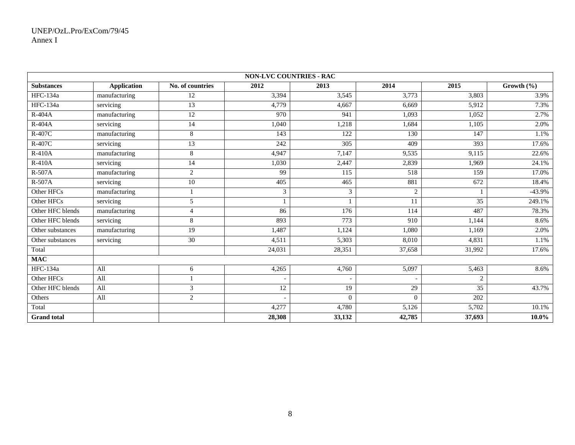| <b>NON-LVC COUNTRIES - RAC</b> |                    |                  |                          |                  |                          |                |                |
|--------------------------------|--------------------|------------------|--------------------------|------------------|--------------------------|----------------|----------------|
| <b>Substances</b>              | <b>Application</b> | No. of countries | 2012                     | 2013             | 2014                     | 2015           | Growth $(\% )$ |
| HFC-134a                       | manufacturing      | 12               | 3,394                    | 3,545            | 3,773                    | 3,803          | 3.9%           |
| HFC-134a                       | servicing          | 13               | 4.779                    | 4,667            | 6,669                    | 5.912          | 7.3%           |
| $R-404A$                       | manufacturing      | $\overline{12}$  | 970                      | 941              | 1,093                    | 1,052          | 2.7%           |
| R-404A                         | servicing          | 14               | 1,040                    | 1,218            | 1,684                    | 1,105          | 2.0%           |
| R-407C                         | manufacturing      | 8                | 143                      | 122              | 130                      | 147            | 1.1%           |
| R-407C                         | servicing          | $\overline{13}$  | 242                      | 305              | 409                      | 393            | 17.6%          |
| $R-410A$                       | manufacturing      | 8                | 4.947                    | 7,147            | 9,535                    | 9,115          | 22.6%          |
| R-410A                         | servicing          | 14               | 1,030                    | 2,447            | 2,839                    | 1,969          | 24.1%          |
| $R-507A$                       | manufacturing      | $\overline{c}$   | 99                       | $\overline{115}$ | 518                      | 159            | 17.0%          |
| $R-507A$                       | servicing          | $\overline{10}$  | 405                      | 465              | 881                      | 672            | 18.4%          |
| Other HFCs                     | manufacturing      |                  | 3                        | 3                | 2                        |                | $-43.9%$       |
| Other HFCs                     | servicing          | 5                |                          |                  | 11                       | 35             | 249.1%         |
| Other HFC blends               | manufacturing      | $\overline{4}$   | 86                       | 176              | 114                      | 487            | 78.3%          |
| Other HFC blends               | servicing          | 8                | 893                      | 773              | 910                      | 1,144          | 8.6%           |
| Other substances               | manufacturing      | 19               | 1,487                    | 1,124            | 1,080                    | 1,169          | 2.0%           |
| Other substances               | servicing          | $\overline{30}$  | 4,511                    | 5,303            | 8,010                    | 4,831          | 1.1%           |
| Total                          |                    |                  | 24,031                   | 28,351           | 37,658                   | 31,992         | 17.6%          |
| <b>MAC</b>                     |                    |                  |                          |                  |                          |                |                |
| <b>HFC-134a</b>                | All                | 6                | 4,265                    | 4,760            | 5,097                    | 5,463          | 8.6%           |
| Other HFCs                     | All                |                  | $\overline{\phantom{a}}$ |                  | $\overline{\phantom{a}}$ | $\overline{2}$ |                |
| Other HFC blends               | All                | 3                | 12                       | 19               | 29                       | 35             | 43.7%          |
| Others                         | All                | 2                |                          | $\Omega$         | $\theta$                 | 202            |                |
| Total                          |                    |                  | 4,277                    | 4,780            | 5,126                    | 5,702          | 10.1%          |
| <b>Grand</b> total             |                    |                  | 28,308                   | 33,132           | 42,785                   | 37,693         | $10.0\%$       |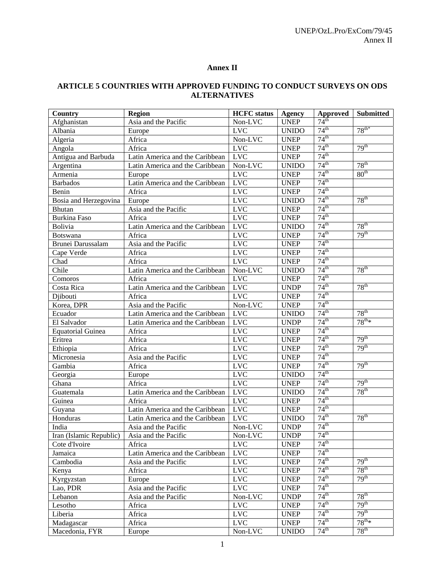## **Annex II**

# **ARTICLE 5 COUNTRIES WITH APPROVED FUNDING TO CONDUCT SURVEYS ON ODS ALTERNATIVES**

| Country                                      | <b>Region</b>                   | <b>HCFC</b> status   | <b>Agency</b> | Approved         | Submitted            |
|----------------------------------------------|---------------------------------|----------------------|---------------|------------------|----------------------|
| Afghanistan                                  | Asia and the Pacific            | Non-LVC              | <b>UNEP</b>   | 74 <sup>th</sup> |                      |
| Albania                                      | Europe                          | <b>LVC</b>           | <b>UNIDO</b>  | 74 <sup>th</sup> | $78^{th*}$           |
| Algeria                                      | Africa                          | $Non-LVC$            | <b>UNEP</b>   | 74 <sup>th</sup> |                      |
| Angola                                       | Africa                          | LVC                  | <b>UNEP</b>   | 74 <sup>th</sup> | 79 <sup>th</sup>     |
| Antigua and Barbuda                          | Latin America and the Caribbean | <b>LVC</b>           | <b>UNEP</b>   | 74 <sup>th</sup> |                      |
| Argentina                                    | Latin America and the Caribbean | Non-LVC              | <b>UNIDO</b>  | 74 <sup>th</sup> | $78^{\text{th}}$     |
| Armenia                                      | Europe                          | <b>LVC</b>           | <b>UNEP</b>   | 74 <sup>th</sup> | 80 <sup>th</sup>     |
| <b>Barbados</b>                              | Latin America and the Caribbean | <b>LVC</b>           | <b>UNEP</b>   | 74 <sup>th</sup> |                      |
| Benin                                        | Africa                          | <b>LVC</b>           | <b>UNEP</b>   | 74 <sup>th</sup> |                      |
| Bosia and Herzegovina                        | Europe                          | <b>LVC</b>           | <b>UNIDO</b>  | 74 <sup>th</sup> | $78^{\text{th}}$     |
| <b>Bhutan</b>                                | Asia and the Pacific            | <b>LVC</b>           | <b>UNEP</b>   | 74 <sup>th</sup> |                      |
| <b>Burkina Faso</b>                          | Africa                          | <b>LVC</b>           | <b>UNEP</b>   | 74 <sup>th</sup> |                      |
| Bolivia                                      | Latin America and the Caribbean | <b>LVC</b>           | <b>UNIDO</b>  | $74^{\text{th}}$ | $78^{\text{th}}$     |
| <b>Botswana</b>                              | Africa                          | <b>LVC</b>           | <b>UNEP</b>   | 74 <sup>th</sup> | 79 <sup>th</sup>     |
| Brunei Darussalam                            | Asia and the Pacific            | <b>LVC</b>           | <b>UNEP</b>   | 74 <sup>th</sup> |                      |
| Cape Verde                                   | Africa                          | <b>LVC</b>           | <b>UNEP</b>   | 74 <sup>th</sup> |                      |
| Chad                                         | Africa                          | LVC                  | <b>UNEP</b>   | 74 <sup>th</sup> |                      |
| Chile                                        | Latin America and the Caribbean | Non-LVC              | <b>UNIDO</b>  | 74 <sup>th</sup> | $78^{th}$            |
| Comoros                                      | Africa                          | <b>LVC</b>           | <b>UNEP</b>   | 74 <sup>th</sup> |                      |
| Costa Rica                                   | Latin America and the Caribbean | <b>LVC</b>           | <b>UNDP</b>   | 74 <sup>th</sup> | $78^{\text{th}}$     |
| Djibouti                                     | Africa                          | <b>LVC</b>           | <b>UNEP</b>   | 74 <sup>th</sup> |                      |
| Korea, DPR                                   | Asia and the Pacific            | Non-LVC              | <b>UNEP</b>   | 74 <sup>th</sup> |                      |
| Ecuador                                      | Latin America and the Caribbean | <b>LVC</b>           | <b>UNIDO</b>  | 74 <sup>th</sup> | $78^{\text{th}}$     |
| El Salvador                                  | Latin America and the Caribbean | <b>LVC</b>           | <b>UNDP</b>   | 74 <sup>th</sup> | $78^{\text{th}}*$    |
| <b>Equatorial Guinea</b>                     | Africa                          | <b>LVC</b>           | <b>UNEP</b>   | 74 <sup>th</sup> |                      |
| Eritrea                                      | Africa                          | <b>LVC</b>           | <b>UNEP</b>   | 74 <sup>th</sup> | 79 <sup>th</sup>     |
| Ethiopia                                     | Africa                          | <b>LVC</b>           | <b>UNEP</b>   | 74 <sup>th</sup> | 79 <sup>th</sup>     |
| Micronesia                                   | Asia and the Pacific            | <b>LVC</b>           | <b>UNEP</b>   | 74 <sup>th</sup> |                      |
| Gambia                                       | Africa                          | <b>LVC</b>           | <b>UNEP</b>   | 74 <sup>th</sup> | 79 <sup>th</sup>     |
| Georgia                                      | Europe                          | <b>LVC</b>           | <b>UNIDO</b>  | 74 <sup>th</sup> |                      |
| Ghana                                        | Africa                          | <b>LVC</b>           | <b>UNEP</b>   | 74 <sup>th</sup> | 79 <sup>th</sup>     |
| Guatemala                                    | Latin America and the Caribbean | <b>LVC</b>           | <b>UNIDO</b>  | 74 <sup>th</sup> | $78^{\text{th}}$     |
| Guinea                                       | Africa                          | <b>LVC</b>           | <b>UNEP</b>   | 74 <sup>th</sup> |                      |
| Guyana                                       | Latin America and the Caribbean | <b>LVC</b>           | <b>UNEP</b>   | 74 <sup>th</sup> |                      |
| Honduras                                     | Latin America and the Caribbean | <b>LVC</b>           | <b>UNIDO</b>  | 74 <sup>th</sup> | $78^{\text{th}}$     |
| India                                        | Asia and the Pacific            | $Non-LV\overline{C}$ | <b>UNDP</b>   | 74 <sup>th</sup> |                      |
| Iran (Islamic Republic) Asia and the Pacific |                                 | Non-LVC              | <b>UNDP</b>   | 74 <sup>th</sup> |                      |
| Cote d'Ivoire                                | Africa                          | <b>LVC</b>           | <b>UNEP</b>   | $74^{\text{th}}$ |                      |
| Jamaica                                      | Latin America and the Caribbean | <b>LVC</b>           | <b>UNEP</b>   | $74^{\text{th}}$ |                      |
| Cambodia                                     | Asia and the Pacific            | <b>LVC</b>           | <b>UNEP</b>   | $74^{\text{th}}$ | 79 <sup>th</sup>     |
| Kenya                                        | Africa                          | <b>LVC</b>           | <b>UNEP</b>   | $74^{\text{th}}$ | $78^{\text{th}}$     |
| Kyrgyzstan                                   | Europe                          | <b>LVC</b>           | <b>UNEP</b>   | $74^{\text{th}}$ | 79 <sup>th</sup>     |
| Lao, PDR                                     | Asia and the Pacific            | <b>LVC</b>           | <b>UNEP</b>   | $74^{\text{th}}$ |                      |
| Lebanon                                      | Asia and the Pacific            | Non-LVC              | <b>UNDP</b>   | $74^{\text{th}}$ | $78^{\text{th}}$     |
| Lesotho                                      | Africa                          | <b>LVC</b>           | <b>UNEP</b>   | $74^{\text{th}}$ | 79 <sup>th</sup>     |
| Liberia                                      | Africa                          | <b>LVC</b>           | <b>UNEP</b>   | $74^{\text{th}}$ | 79 <sup>th</sup>     |
| Madagascar                                   | Africa                          | <b>LVC</b>           | <b>UNEP</b>   | $74^{\text{th}}$ | $78^{\text{th}_{*}}$ |
| Macedonia, FYR                               | Europe                          | Non-LVC              | <b>UNIDO</b>  | $74^{\text{th}}$ | $78^{\text{th}}$     |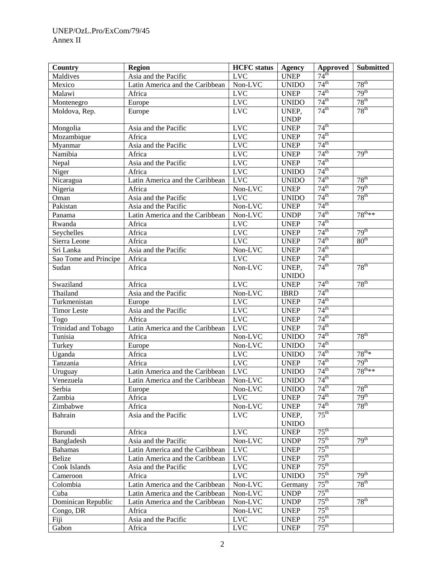| Country<br>Agency<br>Approved<br>74 <sup>th</sup><br>Asia and the Pacific<br><b>LVC</b><br><b>UNEP</b><br>Maldives<br>$74^{\text{th}}$<br>$78^{\text{th}}$<br>Non-LVC<br>Latin America and the Caribbean<br><b>UNIDO</b><br>Mexico<br>$74^{\text{th}}$<br>79 <sup>th</sup><br><b>LVC</b><br>Malawi<br><b>UNEP</b><br>Africa<br>$78^{\text{th}}$<br>74 <sup>th</sup><br><b>LVC</b><br>Montenegro<br><b>UNIDO</b><br>Europe<br>74 <sup>th</sup><br>$78^{\text{th}}$<br>UNEP,<br>$_{\rm LVC}$<br>Moldova, Rep.<br>Europe<br><b>UNDP</b><br>74 <sup>th</sup><br><b>LVC</b><br>Mongolia<br><b>UNEP</b><br>Asia and the Pacific<br>$74^{\text{th}}$<br><b>LVC</b><br>Mozambique<br><b>UNEP</b><br>Africa<br>$74^{\text{th}}$<br><b>LVC</b><br>Myanmar<br>Asia and the Pacific<br><b>UNEP</b><br>$74^{\text{th}}$<br>79 <sup>th</sup><br><b>LVC</b><br>Namibia<br>Africa<br><b>UNEP</b><br>$74^{\text{th}}$<br><b>LVC</b><br>Nepal<br>Asia and the Pacific<br><b>UNEP</b><br>74 <sup>th</sup><br>Niger<br><b>LVC</b><br>Africa<br><b>UNIDO</b><br>74 <sup>th</sup><br>78 <sup>th</sup><br><b>LVC</b><br>Nicaragua<br>Latin America and the Caribbean<br><b>UNIDO</b><br>74 <sup>th</sup><br>79 <sup>th</sup><br>Non-LVC<br><b>UNEP</b><br>Nigeria<br>Africa<br>$78^{\text{th}}$<br>74 <sup>th</sup><br><b>LVC</b><br>Oman<br>Asia and the Pacific<br><b>UNIDO</b><br>74 <sup>th</sup><br>Non-LVC<br>Pakistan<br><b>UNEP</b><br>Asia and the Pacific<br>74 <sup>th</sup><br>$78^{th**}$<br>Non-LVC<br>Panama<br>Latin America and the Caribbean<br><b>UNDP</b><br>74 <sup>th</sup><br><b>LVC</b><br>Rwanda<br><b>UNEP</b><br>Africa<br>74 <sup>th</sup><br>79 <sup>th</sup><br>Africa<br><b>LVC</b><br>Seychelles<br><b>UNEP</b><br>74 <sup>th</sup><br>80 <sup>th</sup><br><b>LVC</b><br>Sierra Leone<br>Africa<br><b>UNEP</b><br>74 <sup>th</sup><br>Non-LVC<br>Sri Lanka<br>Asia and the Pacific<br><b>UNEP</b><br>74 <sup>th</sup><br><b>LVC</b><br>Sao Tome and Principe<br>Africa<br><b>UNEP</b><br>74 <sup>th</sup><br>$78^{\text{th}}$<br>Non-LVC<br>Sudan<br>Africa<br>UNEP,<br><b>UNIDO</b><br>74 <sup>th</sup><br>$78^{\text{th}}$<br>Swaziland<br>Africa<br><b>LVC</b><br><b>UNEP</b><br>$74^{\text{th}}$<br>Thailand<br>Non-LVC<br>Asia and the Pacific<br><b>IBRD</b><br>$74^{\text{th}}$<br><b>LVC</b><br>Turkmenistan<br><b>UNEP</b><br>Europe<br>$74^{\text{th}}$<br><b>LVC</b><br><b>Timor Leste</b><br>Asia and the Pacific<br><b>UNEP</b> |
|-------------------------------------------------------------------------------------------------------------------------------------------------------------------------------------------------------------------------------------------------------------------------------------------------------------------------------------------------------------------------------------------------------------------------------------------------------------------------------------------------------------------------------------------------------------------------------------------------------------------------------------------------------------------------------------------------------------------------------------------------------------------------------------------------------------------------------------------------------------------------------------------------------------------------------------------------------------------------------------------------------------------------------------------------------------------------------------------------------------------------------------------------------------------------------------------------------------------------------------------------------------------------------------------------------------------------------------------------------------------------------------------------------------------------------------------------------------------------------------------------------------------------------------------------------------------------------------------------------------------------------------------------------------------------------------------------------------------------------------------------------------------------------------------------------------------------------------------------------------------------------------------------------------------------------------------------------------------------------------------------------------------------------------------------------------------------------------------------------------------------------------------------------------------------------------------------------------------------------------------------------------------------------------------------------------------------------------------------------------------------------------------------------------------------------------------------------|
|                                                                                                                                                                                                                                                                                                                                                                                                                                                                                                                                                                                                                                                                                                                                                                                                                                                                                                                                                                                                                                                                                                                                                                                                                                                                                                                                                                                                                                                                                                                                                                                                                                                                                                                                                                                                                                                                                                                                                                                                                                                                                                                                                                                                                                                                                                                                                                                                                                                       |
|                                                                                                                                                                                                                                                                                                                                                                                                                                                                                                                                                                                                                                                                                                                                                                                                                                                                                                                                                                                                                                                                                                                                                                                                                                                                                                                                                                                                                                                                                                                                                                                                                                                                                                                                                                                                                                                                                                                                                                                                                                                                                                                                                                                                                                                                                                                                                                                                                                                       |
|                                                                                                                                                                                                                                                                                                                                                                                                                                                                                                                                                                                                                                                                                                                                                                                                                                                                                                                                                                                                                                                                                                                                                                                                                                                                                                                                                                                                                                                                                                                                                                                                                                                                                                                                                                                                                                                                                                                                                                                                                                                                                                                                                                                                                                                                                                                                                                                                                                                       |
|                                                                                                                                                                                                                                                                                                                                                                                                                                                                                                                                                                                                                                                                                                                                                                                                                                                                                                                                                                                                                                                                                                                                                                                                                                                                                                                                                                                                                                                                                                                                                                                                                                                                                                                                                                                                                                                                                                                                                                                                                                                                                                                                                                                                                                                                                                                                                                                                                                                       |
|                                                                                                                                                                                                                                                                                                                                                                                                                                                                                                                                                                                                                                                                                                                                                                                                                                                                                                                                                                                                                                                                                                                                                                                                                                                                                                                                                                                                                                                                                                                                                                                                                                                                                                                                                                                                                                                                                                                                                                                                                                                                                                                                                                                                                                                                                                                                                                                                                                                       |
|                                                                                                                                                                                                                                                                                                                                                                                                                                                                                                                                                                                                                                                                                                                                                                                                                                                                                                                                                                                                                                                                                                                                                                                                                                                                                                                                                                                                                                                                                                                                                                                                                                                                                                                                                                                                                                                                                                                                                                                                                                                                                                                                                                                                                                                                                                                                                                                                                                                       |
|                                                                                                                                                                                                                                                                                                                                                                                                                                                                                                                                                                                                                                                                                                                                                                                                                                                                                                                                                                                                                                                                                                                                                                                                                                                                                                                                                                                                                                                                                                                                                                                                                                                                                                                                                                                                                                                                                                                                                                                                                                                                                                                                                                                                                                                                                                                                                                                                                                                       |
|                                                                                                                                                                                                                                                                                                                                                                                                                                                                                                                                                                                                                                                                                                                                                                                                                                                                                                                                                                                                                                                                                                                                                                                                                                                                                                                                                                                                                                                                                                                                                                                                                                                                                                                                                                                                                                                                                                                                                                                                                                                                                                                                                                                                                                                                                                                                                                                                                                                       |
|                                                                                                                                                                                                                                                                                                                                                                                                                                                                                                                                                                                                                                                                                                                                                                                                                                                                                                                                                                                                                                                                                                                                                                                                                                                                                                                                                                                                                                                                                                                                                                                                                                                                                                                                                                                                                                                                                                                                                                                                                                                                                                                                                                                                                                                                                                                                                                                                                                                       |
|                                                                                                                                                                                                                                                                                                                                                                                                                                                                                                                                                                                                                                                                                                                                                                                                                                                                                                                                                                                                                                                                                                                                                                                                                                                                                                                                                                                                                                                                                                                                                                                                                                                                                                                                                                                                                                                                                                                                                                                                                                                                                                                                                                                                                                                                                                                                                                                                                                                       |
|                                                                                                                                                                                                                                                                                                                                                                                                                                                                                                                                                                                                                                                                                                                                                                                                                                                                                                                                                                                                                                                                                                                                                                                                                                                                                                                                                                                                                                                                                                                                                                                                                                                                                                                                                                                                                                                                                                                                                                                                                                                                                                                                                                                                                                                                                                                                                                                                                                                       |
|                                                                                                                                                                                                                                                                                                                                                                                                                                                                                                                                                                                                                                                                                                                                                                                                                                                                                                                                                                                                                                                                                                                                                                                                                                                                                                                                                                                                                                                                                                                                                                                                                                                                                                                                                                                                                                                                                                                                                                                                                                                                                                                                                                                                                                                                                                                                                                                                                                                       |
|                                                                                                                                                                                                                                                                                                                                                                                                                                                                                                                                                                                                                                                                                                                                                                                                                                                                                                                                                                                                                                                                                                                                                                                                                                                                                                                                                                                                                                                                                                                                                                                                                                                                                                                                                                                                                                                                                                                                                                                                                                                                                                                                                                                                                                                                                                                                                                                                                                                       |
|                                                                                                                                                                                                                                                                                                                                                                                                                                                                                                                                                                                                                                                                                                                                                                                                                                                                                                                                                                                                                                                                                                                                                                                                                                                                                                                                                                                                                                                                                                                                                                                                                                                                                                                                                                                                                                                                                                                                                                                                                                                                                                                                                                                                                                                                                                                                                                                                                                                       |
|                                                                                                                                                                                                                                                                                                                                                                                                                                                                                                                                                                                                                                                                                                                                                                                                                                                                                                                                                                                                                                                                                                                                                                                                                                                                                                                                                                                                                                                                                                                                                                                                                                                                                                                                                                                                                                                                                                                                                                                                                                                                                                                                                                                                                                                                                                                                                                                                                                                       |
|                                                                                                                                                                                                                                                                                                                                                                                                                                                                                                                                                                                                                                                                                                                                                                                                                                                                                                                                                                                                                                                                                                                                                                                                                                                                                                                                                                                                                                                                                                                                                                                                                                                                                                                                                                                                                                                                                                                                                                                                                                                                                                                                                                                                                                                                                                                                                                                                                                                       |
|                                                                                                                                                                                                                                                                                                                                                                                                                                                                                                                                                                                                                                                                                                                                                                                                                                                                                                                                                                                                                                                                                                                                                                                                                                                                                                                                                                                                                                                                                                                                                                                                                                                                                                                                                                                                                                                                                                                                                                                                                                                                                                                                                                                                                                                                                                                                                                                                                                                       |
|                                                                                                                                                                                                                                                                                                                                                                                                                                                                                                                                                                                                                                                                                                                                                                                                                                                                                                                                                                                                                                                                                                                                                                                                                                                                                                                                                                                                                                                                                                                                                                                                                                                                                                                                                                                                                                                                                                                                                                                                                                                                                                                                                                                                                                                                                                                                                                                                                                                       |
|                                                                                                                                                                                                                                                                                                                                                                                                                                                                                                                                                                                                                                                                                                                                                                                                                                                                                                                                                                                                                                                                                                                                                                                                                                                                                                                                                                                                                                                                                                                                                                                                                                                                                                                                                                                                                                                                                                                                                                                                                                                                                                                                                                                                                                                                                                                                                                                                                                                       |
|                                                                                                                                                                                                                                                                                                                                                                                                                                                                                                                                                                                                                                                                                                                                                                                                                                                                                                                                                                                                                                                                                                                                                                                                                                                                                                                                                                                                                                                                                                                                                                                                                                                                                                                                                                                                                                                                                                                                                                                                                                                                                                                                                                                                                                                                                                                                                                                                                                                       |
|                                                                                                                                                                                                                                                                                                                                                                                                                                                                                                                                                                                                                                                                                                                                                                                                                                                                                                                                                                                                                                                                                                                                                                                                                                                                                                                                                                                                                                                                                                                                                                                                                                                                                                                                                                                                                                                                                                                                                                                                                                                                                                                                                                                                                                                                                                                                                                                                                                                       |
|                                                                                                                                                                                                                                                                                                                                                                                                                                                                                                                                                                                                                                                                                                                                                                                                                                                                                                                                                                                                                                                                                                                                                                                                                                                                                                                                                                                                                                                                                                                                                                                                                                                                                                                                                                                                                                                                                                                                                                                                                                                                                                                                                                                                                                                                                                                                                                                                                                                       |
|                                                                                                                                                                                                                                                                                                                                                                                                                                                                                                                                                                                                                                                                                                                                                                                                                                                                                                                                                                                                                                                                                                                                                                                                                                                                                                                                                                                                                                                                                                                                                                                                                                                                                                                                                                                                                                                                                                                                                                                                                                                                                                                                                                                                                                                                                                                                                                                                                                                       |
|                                                                                                                                                                                                                                                                                                                                                                                                                                                                                                                                                                                                                                                                                                                                                                                                                                                                                                                                                                                                                                                                                                                                                                                                                                                                                                                                                                                                                                                                                                                                                                                                                                                                                                                                                                                                                                                                                                                                                                                                                                                                                                                                                                                                                                                                                                                                                                                                                                                       |
|                                                                                                                                                                                                                                                                                                                                                                                                                                                                                                                                                                                                                                                                                                                                                                                                                                                                                                                                                                                                                                                                                                                                                                                                                                                                                                                                                                                                                                                                                                                                                                                                                                                                                                                                                                                                                                                                                                                                                                                                                                                                                                                                                                                                                                                                                                                                                                                                                                                       |
|                                                                                                                                                                                                                                                                                                                                                                                                                                                                                                                                                                                                                                                                                                                                                                                                                                                                                                                                                                                                                                                                                                                                                                                                                                                                                                                                                                                                                                                                                                                                                                                                                                                                                                                                                                                                                                                                                                                                                                                                                                                                                                                                                                                                                                                                                                                                                                                                                                                       |
|                                                                                                                                                                                                                                                                                                                                                                                                                                                                                                                                                                                                                                                                                                                                                                                                                                                                                                                                                                                                                                                                                                                                                                                                                                                                                                                                                                                                                                                                                                                                                                                                                                                                                                                                                                                                                                                                                                                                                                                                                                                                                                                                                                                                                                                                                                                                                                                                                                                       |
|                                                                                                                                                                                                                                                                                                                                                                                                                                                                                                                                                                                                                                                                                                                                                                                                                                                                                                                                                                                                                                                                                                                                                                                                                                                                                                                                                                                                                                                                                                                                                                                                                                                                                                                                                                                                                                                                                                                                                                                                                                                                                                                                                                                                                                                                                                                                                                                                                                                       |
| 74 <sup>th</sup><br><b>LVC</b><br>Africa<br>Togo<br><b>UNEP</b>                                                                                                                                                                                                                                                                                                                                                                                                                                                                                                                                                                                                                                                                                                                                                                                                                                                                                                                                                                                                                                                                                                                                                                                                                                                                                                                                                                                                                                                                                                                                                                                                                                                                                                                                                                                                                                                                                                                                                                                                                                                                                                                                                                                                                                                                                                                                                                                       |
| 74 <sup>th</sup><br><b>LVC</b><br>Trinidad and Tobago<br>Latin America and the Caribbean<br><b>UNEP</b>                                                                                                                                                                                                                                                                                                                                                                                                                                                                                                                                                                                                                                                                                                                                                                                                                                                                                                                                                                                                                                                                                                                                                                                                                                                                                                                                                                                                                                                                                                                                                                                                                                                                                                                                                                                                                                                                                                                                                                                                                                                                                                                                                                                                                                                                                                                                               |
| 74 <sup>th</sup><br>$78^{\text{th}}$<br>Tunisia<br>Non-LVC<br>Africa<br><b>UNIDO</b>                                                                                                                                                                                                                                                                                                                                                                                                                                                                                                                                                                                                                                                                                                                                                                                                                                                                                                                                                                                                                                                                                                                                                                                                                                                                                                                                                                                                                                                                                                                                                                                                                                                                                                                                                                                                                                                                                                                                                                                                                                                                                                                                                                                                                                                                                                                                                                  |
| 74 <sup>th</sup><br>Non-LVC<br>Turkey<br><b>UNIDO</b><br>Europe                                                                                                                                                                                                                                                                                                                                                                                                                                                                                                                                                                                                                                                                                                                                                                                                                                                                                                                                                                                                                                                                                                                                                                                                                                                                                                                                                                                                                                                                                                                                                                                                                                                                                                                                                                                                                                                                                                                                                                                                                                                                                                                                                                                                                                                                                                                                                                                       |
| 74 <sup>th</sup><br>$78^{\text{th}}*$<br><b>LVC</b><br>Uganda<br>Africa<br><b>UNIDO</b>                                                                                                                                                                                                                                                                                                                                                                                                                                                                                                                                                                                                                                                                                                                                                                                                                                                                                                                                                                                                                                                                                                                                                                                                                                                                                                                                                                                                                                                                                                                                                                                                                                                                                                                                                                                                                                                                                                                                                                                                                                                                                                                                                                                                                                                                                                                                                               |
| 79 <sup>th</sup><br>74 <sup>th</sup><br>Tanzania<br><b>LVC</b><br>Africa<br><b>UNEP</b>                                                                                                                                                                                                                                                                                                                                                                                                                                                                                                                                                                                                                                                                                                                                                                                                                                                                                                                                                                                                                                                                                                                                                                                                                                                                                                                                                                                                                                                                                                                                                                                                                                                                                                                                                                                                                                                                                                                                                                                                                                                                                                                                                                                                                                                                                                                                                               |
| $74^{\text{th}}$<br>$78^{\text{th}_{**}*}$<br><b>LVC</b><br><b>UNIDO</b><br>Uruguay<br>Latin America and the Caribbean                                                                                                                                                                                                                                                                                                                                                                                                                                                                                                                                                                                                                                                                                                                                                                                                                                                                                                                                                                                                                                                                                                                                                                                                                                                                                                                                                                                                                                                                                                                                                                                                                                                                                                                                                                                                                                                                                                                                                                                                                                                                                                                                                                                                                                                                                                                                |
| 74 <sup>th</sup><br>Venezuela<br>Non-LVC<br>Latin America and the Caribbean<br><b>UNIDO</b>                                                                                                                                                                                                                                                                                                                                                                                                                                                                                                                                                                                                                                                                                                                                                                                                                                                                                                                                                                                                                                                                                                                                                                                                                                                                                                                                                                                                                                                                                                                                                                                                                                                                                                                                                                                                                                                                                                                                                                                                                                                                                                                                                                                                                                                                                                                                                           |
| 74 <sup>th</sup><br>$78^{\text{th}}$<br>Serbia<br>Non-LVC<br><b>UNIDO</b><br>Europe                                                                                                                                                                                                                                                                                                                                                                                                                                                                                                                                                                                                                                                                                                                                                                                                                                                                                                                                                                                                                                                                                                                                                                                                                                                                                                                                                                                                                                                                                                                                                                                                                                                                                                                                                                                                                                                                                                                                                                                                                                                                                                                                                                                                                                                                                                                                                                   |
| 74 <sup>th</sup><br>79 <sup>th</sup><br><b>LVC</b><br><b>UNEP</b><br>Zambia<br>Africa                                                                                                                                                                                                                                                                                                                                                                                                                                                                                                                                                                                                                                                                                                                                                                                                                                                                                                                                                                                                                                                                                                                                                                                                                                                                                                                                                                                                                                                                                                                                                                                                                                                                                                                                                                                                                                                                                                                                                                                                                                                                                                                                                                                                                                                                                                                                                                 |
| $78^{\text{th}}$<br>74 <sup>th</sup><br>Zimbabwe<br>Non-LVC<br><b>UNEP</b><br>Africa                                                                                                                                                                                                                                                                                                                                                                                                                                                                                                                                                                                                                                                                                                                                                                                                                                                                                                                                                                                                                                                                                                                                                                                                                                                                                                                                                                                                                                                                                                                                                                                                                                                                                                                                                                                                                                                                                                                                                                                                                                                                                                                                                                                                                                                                                                                                                                  |
| $75^{\text{th}}$<br>Asia and the Pacific<br><b>LVC</b><br>Bahrain<br>UNEP,                                                                                                                                                                                                                                                                                                                                                                                                                                                                                                                                                                                                                                                                                                                                                                                                                                                                                                                                                                                                                                                                                                                                                                                                                                                                                                                                                                                                                                                                                                                                                                                                                                                                                                                                                                                                                                                                                                                                                                                                                                                                                                                                                                                                                                                                                                                                                                            |
| <b>UNIDO</b>                                                                                                                                                                                                                                                                                                                                                                                                                                                                                                                                                                                                                                                                                                                                                                                                                                                                                                                                                                                                                                                                                                                                                                                                                                                                                                                                                                                                                                                                                                                                                                                                                                                                                                                                                                                                                                                                                                                                                                                                                                                                                                                                                                                                                                                                                                                                                                                                                                          |
| $75^{\text{th}}$<br>Burundi<br><b>LVC</b><br><b>UNEP</b><br>Africa                                                                                                                                                                                                                                                                                                                                                                                                                                                                                                                                                                                                                                                                                                                                                                                                                                                                                                                                                                                                                                                                                                                                                                                                                                                                                                                                                                                                                                                                                                                                                                                                                                                                                                                                                                                                                                                                                                                                                                                                                                                                                                                                                                                                                                                                                                                                                                                    |
| $75^{\text{th}}$<br>79 <sup>th</sup><br>Bangladesh<br>Asia and the Pacific<br>Non-LVC<br><b>UNDP</b>                                                                                                                                                                                                                                                                                                                                                                                                                                                                                                                                                                                                                                                                                                                                                                                                                                                                                                                                                                                                                                                                                                                                                                                                                                                                                                                                                                                                                                                                                                                                                                                                                                                                                                                                                                                                                                                                                                                                                                                                                                                                                                                                                                                                                                                                                                                                                  |
| $75^{\text{th}}$<br><b>LVC</b><br><b>Bahamas</b><br>Latin America and the Caribbean<br><b>UNEP</b>                                                                                                                                                                                                                                                                                                                                                                                                                                                                                                                                                                                                                                                                                                                                                                                                                                                                                                                                                                                                                                                                                                                                                                                                                                                                                                                                                                                                                                                                                                                                                                                                                                                                                                                                                                                                                                                                                                                                                                                                                                                                                                                                                                                                                                                                                                                                                    |
| $75^{\text{th}}$<br>$_{\rm LVC}$<br>Latin America and the Caribbean<br><b>Belize</b><br><b>UNEP</b>                                                                                                                                                                                                                                                                                                                                                                                                                                                                                                                                                                                                                                                                                                                                                                                                                                                                                                                                                                                                                                                                                                                                                                                                                                                                                                                                                                                                                                                                                                                                                                                                                                                                                                                                                                                                                                                                                                                                                                                                                                                                                                                                                                                                                                                                                                                                                   |
| $75^{\text{th}}$<br>LVC<br>Cook Islands<br>Asia and the Pacific<br><b>UNEP</b>                                                                                                                                                                                                                                                                                                                                                                                                                                                                                                                                                                                                                                                                                                                                                                                                                                                                                                                                                                                                                                                                                                                                                                                                                                                                                                                                                                                                                                                                                                                                                                                                                                                                                                                                                                                                                                                                                                                                                                                                                                                                                                                                                                                                                                                                                                                                                                        |
| 79 <sup>th</sup><br>$75^{\text{th}}$<br><b>LVC</b><br>Africa<br><b>UNIDO</b><br>Cameroon                                                                                                                                                                                                                                                                                                                                                                                                                                                                                                                                                                                                                                                                                                                                                                                                                                                                                                                                                                                                                                                                                                                                                                                                                                                                                                                                                                                                                                                                                                                                                                                                                                                                                                                                                                                                                                                                                                                                                                                                                                                                                                                                                                                                                                                                                                                                                              |
| $75^{\text{th}}$<br>78 <sup>th</sup><br>Colombia<br>Latin America and the Caribbean<br>Non-LVC<br>Germany                                                                                                                                                                                                                                                                                                                                                                                                                                                                                                                                                                                                                                                                                                                                                                                                                                                                                                                                                                                                                                                                                                                                                                                                                                                                                                                                                                                                                                                                                                                                                                                                                                                                                                                                                                                                                                                                                                                                                                                                                                                                                                                                                                                                                                                                                                                                             |
| $75^{\text{th}}$<br>Non-LVC<br><b>UNDP</b><br>Cuba<br>Latin America and the Caribbean                                                                                                                                                                                                                                                                                                                                                                                                                                                                                                                                                                                                                                                                                                                                                                                                                                                                                                                                                                                                                                                                                                                                                                                                                                                                                                                                                                                                                                                                                                                                                                                                                                                                                                                                                                                                                                                                                                                                                                                                                                                                                                                                                                                                                                                                                                                                                                 |
| $75^{\text{th}}$<br>78 <sup>th</sup><br>Dominican Republic<br>Non-LVC<br><b>UNDP</b><br>Latin America and the Caribbean                                                                                                                                                                                                                                                                                                                                                                                                                                                                                                                                                                                                                                                                                                                                                                                                                                                                                                                                                                                                                                                                                                                                                                                                                                                                                                                                                                                                                                                                                                                                                                                                                                                                                                                                                                                                                                                                                                                                                                                                                                                                                                                                                                                                                                                                                                                               |
| $75^{\text{th}}$<br>Non-LVC<br><b>UNEP</b><br>Congo, DR<br>Africa                                                                                                                                                                                                                                                                                                                                                                                                                                                                                                                                                                                                                                                                                                                                                                                                                                                                                                                                                                                                                                                                                                                                                                                                                                                                                                                                                                                                                                                                                                                                                                                                                                                                                                                                                                                                                                                                                                                                                                                                                                                                                                                                                                                                                                                                                                                                                                                     |
| $75^{\text{th}}$<br>Asia and the Pacific<br><b>LVC</b><br><b>UNEP</b><br>Fiji                                                                                                                                                                                                                                                                                                                                                                                                                                                                                                                                                                                                                                                                                                                                                                                                                                                                                                                                                                                                                                                                                                                                                                                                                                                                                                                                                                                                                                                                                                                                                                                                                                                                                                                                                                                                                                                                                                                                                                                                                                                                                                                                                                                                                                                                                                                                                                         |
| $75^{\text{th}}$<br>$_{\rm LVC}$<br><b>UNEP</b><br>Gabon<br>Africa                                                                                                                                                                                                                                                                                                                                                                                                                                                                                                                                                                                                                                                                                                                                                                                                                                                                                                                                                                                                                                                                                                                                                                                                                                                                                                                                                                                                                                                                                                                                                                                                                                                                                                                                                                                                                                                                                                                                                                                                                                                                                                                                                                                                                                                                                                                                                                                    |